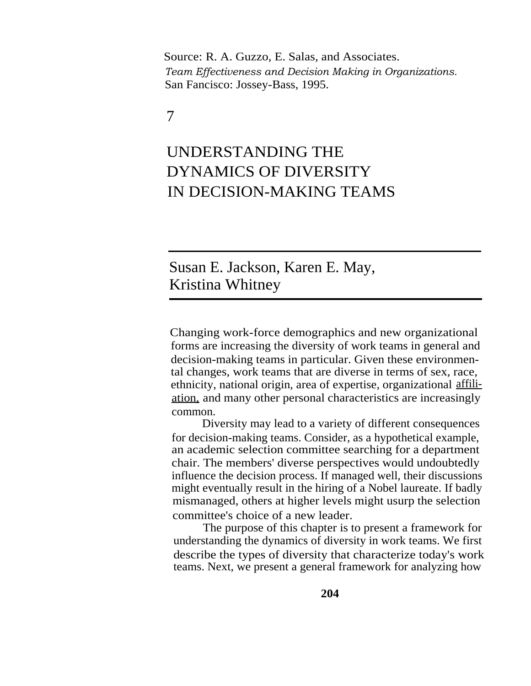Source: R. A. Guzzo, E. Salas, and Associates. *Team Effectiveness and Decision Making in Organizations.* San Fancisco: Jossey-Bass, 1995.

7

# UNDERSTANDING THE DYNAMICS OF DIVERSITY IN DECISION-MAKING TEAMS

Susan E. Jackson, Karen E. May, Kristina Whitney

Changing work-force demographics and new organizational forms are increasing the diversity of work teams in general and decision-making teams in particular. Given these environmental changes, work teams that are diverse in terms of sex, race, ethnicity, national origin, area of expertise, organizational affiliation, and many other personal characteristics are increasingly common.

Diversity may lead to a variety of different consequences for decision-making teams. Consider, as a hypothetical example, an academic selection committee searching for a department chair. The members' diverse perspectives would undoubtedly influence the decision process. If managed well, their discussions might eventually result in the hiring of a Nobel laureate. If badly mismanaged, others at higher levels might usurp the selection committee's choice of a new leader.

The purpose of this chapter is to present a framework for understanding the dynamics of diversity in work teams. We first describe the types of diversity that characterize today's work teams. Next, we present a general framework for analyzing how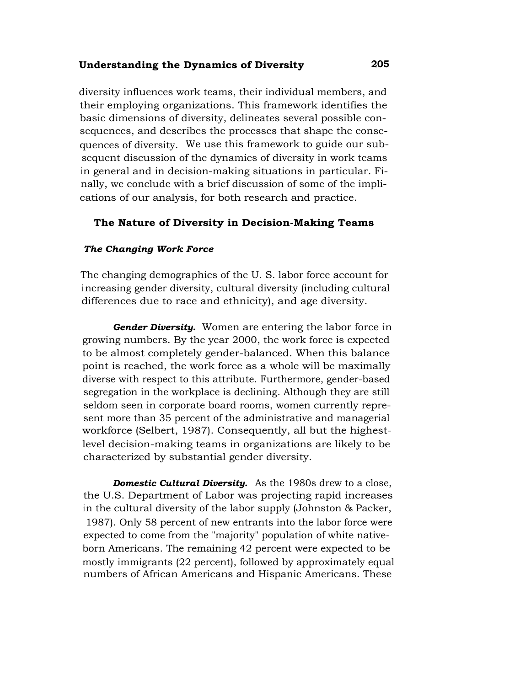diversity influences work teams, their individual members, and their employing organizations. This framework identifies the basic dimensions of diversity, delineates several possible consequences, and describes the processes that shape the consequences of diversity. We use this framework to guide our subsequent discussion of the dynamics of diversity in work teams in general and in decision-making situations in particular. Finally, we conclude with a brief discussion of some of the implications of our analysis, for both research and practice.

## **The Nature of Diversity in Decision-Making Teams**

#### *The Changing Work Force*

The changing demographics of the U. S. labor force account for <sup>i</sup> ncreasing gender diversity, cultural diversity (including cultural differences due to race and ethnicity), and age diversity.

*Gender Diversity.* Women are entering the labor force in growing numbers. By the year 2000, the work force is expected to be almost completely gender-balanced. When this balance point is reached, the work force as a whole will be maximally diverse with respect to this attribute. Furthermore, gender-based segregation in the workplace is declining. Although they are still seldom seen in corporate board rooms, women currently represent more than 35 percent of the administrative and managerial workforce (Selbert, 1987). Consequently, all but the highestlevel decision-making teams in organizations are likely to be characterized by substantial gender diversity.

*Domestic Cultural Diversity.* As the 1980s drew to a close, the U.S. Department of Labor was projecting rapid increases in the cultural diversity of the labor supply (Johnston & Packer, 1987). Only 58 percent of new entrants into the labor force were expected to come from the "majority" population of white nativeborn Americans. The remaining 42 percent were expected to be mostly immigrants (22 percent), followed by approximately equal numbers of African Americans and Hispanic Americans. These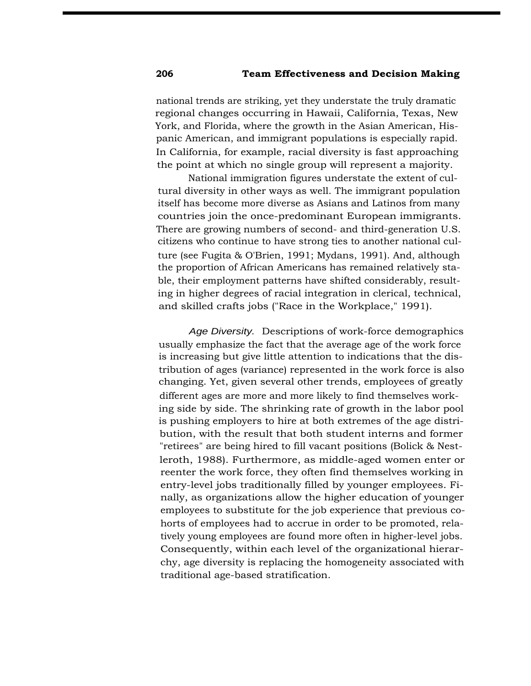#### **Team Effectiveness and Decision Making**

national trends are striking, yet they understate the truly dramatic regional changes occurring in Hawaii, California, Texas, New York, and Florida, where the growth in the Asian American, Hispanic American, and immigrant populations is especially rapid. In California, for example, racial diversity is fast approaching the point at which no single group will represent a majority.

National immigration figures understate the extent of cultural diversity in other ways as well. The immigrant population itself has become more diverse as Asians and Latinos from many countries join the once-predominant European immigrants. There are growing numbers of second- and third-generation U.S. citizens who continue to have strong ties to another national culture (see Fugita & O'Brien, 1991; Mydans, 1991). And, although the proportion of African Americans has remained relatively stable, their employment patterns have shifted considerably, resulting in higher degrees of racial integration in clerical, technical, and skilled crafts jobs ("Race in the Workplace," 1991).

Age Diversity. Descriptions of work-force demographics usually emphasize the fact that the average age of the work force is increasing but give little attention to indications that the distribution of ages (variance) represented in the work force is also changing. Yet, given several other trends, employees of greatly different ages are more and more likely to find themselves working side by side. The shrinking rate of growth in the labor pool is pushing employers to hire at both extremes of the age distribution, with the result that both student interns and former "retirees" are being hired to fill vacant positions (Bolick & Nestleroth, 1988). Furthermore, as middle-aged women enter or reenter the work force, they often find themselves working in entry-level jobs traditionally filled by younger employees. Finally, as organizations allow the higher education of younger employees to substitute for the job experience that previous cohorts of employees had to accrue in order to be promoted, relatively young employees are found more often in higher-level jobs. Consequently, within each level of the organizational hierarchy, age diversity is replacing the homogeneity associated with traditional age-based stratification.

## **206**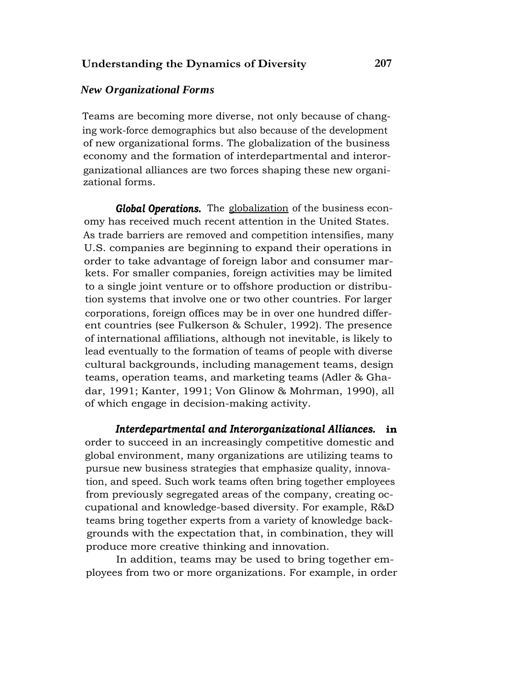## *New Organizational Forms*

Teams are becoming more diverse, not only because of changing work-force demographics but also because of the development of new organizational forms. The globalization of the business economy and the formation of interdepartmental and interorganizational alliances are two forces shaping these new organizational forms.

*Global Operations.* The globalization of the business economy has received much recent attention in the United States. As trade barriers are removed and competition intensifies, many U.S. companies are beginning to expand their operations in order to take advantage of foreign labor and consumer markets. For smaller companies, foreign activities may be limited to a single joint venture or to offshore production or distribution systems that involve one or two other countries. For larger corporations, foreign offices may be in over one hundred different countries (see Fulkerson & Schuler, 1992). The presence of international affiliations, although not inevitable, is likely to lead eventually to the formation of teams of people with diverse cultural backgrounds, including management teams, design teams, operation teams, and marketing teams (Adler & Ghadar, 1991; Kanter, 1991; Von Glinow & Mohrman, 1990), all of which engage in decision-making activity.

*Interdepartmental and Interorganizational Alliances.* **in** order to succeed in an increasingly competitive domestic and global environment, many organizations are utilizing teams to pursue new business strategies that emphasize quality, innovation, and speed. Such work teams often bring together employees from previously segregated areas of the company, creating occupational and knowledge-based diversity. For example, R&D teams bring together experts from a variety of knowledge backgrounds with the expectation that, in combination, they will produce more creative thinking and innovation.

In addition, teams may be used to bring together employees from two or more organizations. For example, in order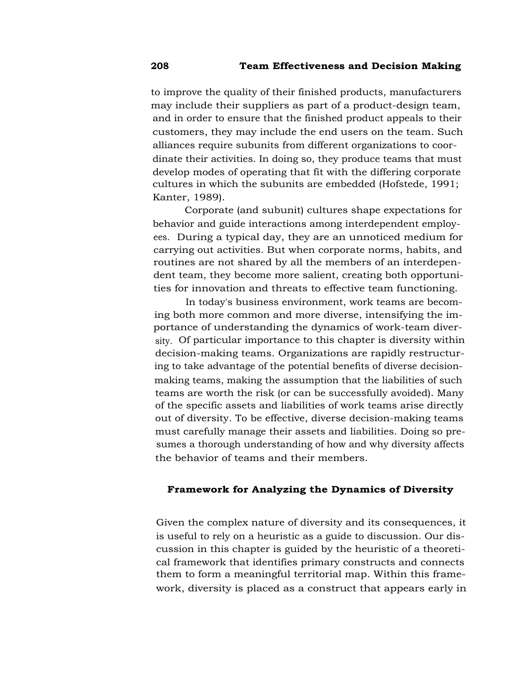to improve the quality of their finished products, manufacturers may include their suppliers as part of a product-design team, and in order to ensure that the finished product appeals to their customers, they may include the end users on the team. Such alliances require subunits from different organizations to coordinate their activities. In doing so, they produce teams that must develop modes of operating that fit with the differing corporate cultures in which the subunits are embedded (Hofstede, 1991; Kanter, 1989).

Corporate (and subunit) cultures shape expectations for behavior and guide interactions among interdependent employees. During a typical day, they are an unnoticed medium for carrying out activities. But when corporate norms, habits, and routines are not shared by all the members of an interdependent team, they become more salient, creating both opportunities for innovation and threats to effective team functioning.

In today's business environment, work teams are becoming both more common and more diverse, intensifying the importance of understanding the dynamics of work-team diversity. Of particular importance to this chapter is diversity within decision-making teams. Organizations are rapidly restructuring to take advantage of the potential benefits of diverse decisionmaking teams, making the assumption that the liabilities of such teams are worth the risk (or can be successfully avoided). Many of the specific assets and liabilities of work teams arise directly out of diversity. To be effective, diverse decision-making teams must carefully manage their assets and liabilities. Doing so presumes a thorough understanding of how and why diversity affects the behavior of teams and their members.

#### **Framework for Analyzing the Dynamics of Diversity**

Given the complex nature of diversity and its consequences, it is useful to rely on a heuristic as a guide to discussion. Our discussion in this chapter is guided by the heuristic of a theoretical framework that identifies primary constructs and connects them to form a meaningful territorial map. Within this framework, diversity is placed as a construct that appears early in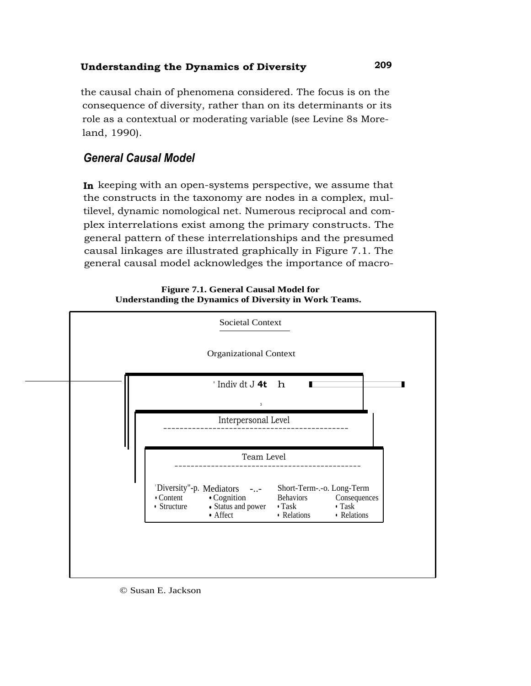the causal chain of phenomena considered. The focus is on the consequence of diversity, rather than on its determinants or its role as a contextual or moderating variable (see Levine 8s Moreland, 1990).

# *General Causal Model*

**In** keeping with an open-systems perspective, we assume that the constructs in the taxonomy are nodes in a complex, multilevel, dynamic nomological net. Numerous reciprocal and complex interrelations exist among the primary constructs. The general pattern of these interrelationships and the presumed causal linkages are illustrated graphically in Figure 7.1. The general causal model acknowledges the importance of macro-

**Figure 7.1. General Causal Model for Understanding the Dynamics of Diversity in Work Teams.**



© Susan E. Jackson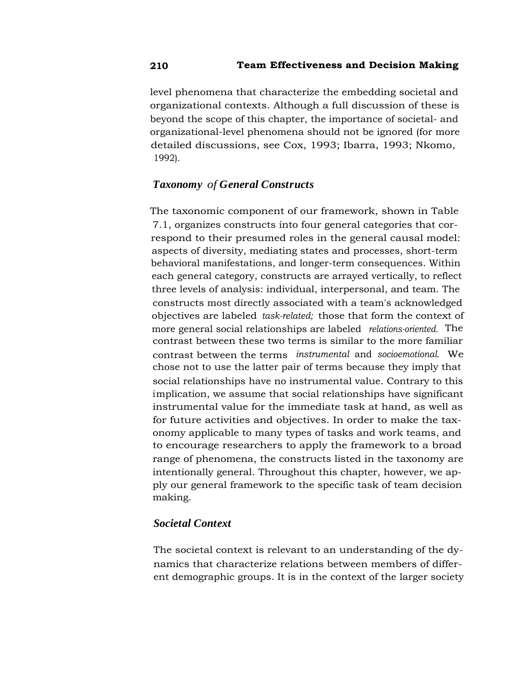level phenomena that characterize the embedding societal and organizational contexts. Although a full discussion of these is beyond the scope of this chapter, the importance of societal- and organizational-level phenomena should not be ignored (for more detailed discussions, see Cox, 1993; Ibarra, 1993; Nkomo, 1992).

## *Taxonomy ofGeneral Constructs*

The taxonomic component of our framework, shown in Table 7.1, organizes constructs into four general categories that correspond to their presumed roles in the general causal model: aspects of diversity, mediating states and processes, short-term behavioral manifestations, and longer-term consequences. Within each general category, constructs are arrayed vertically, to reflect three levels of analysis: individual, interpersonal, and team. The constructs most directly associated with a team's acknowledged objectives are labeled *task-related;* those that form the context of more general social relationships are labeled *relations-oriented.* The contrast between these two terms is similar to the more familiar contrast between the terms *instrumental* and *socioemotional.* We chose not to use the latter pair of terms because they imply that social relationships have no instrumental value. Contrary to this implication, we assume that social relationships have significant instrumental value for the immediate task at hand, as well as for future activities and objectives. In order to make the taxonomy applicable to many types of tasks and work teams, and to encourage researchers to apply the framework to a broad range of phenomena, the constructs listed in the taxonomy are intentionally general. Throughout this chapter, however, we apply our general framework to the specific task of team decision making.

## *Societal Context*

The societal context is relevant to an understanding of the dynamics that characterize relations between members of different demographic groups. It is in the context of the larger society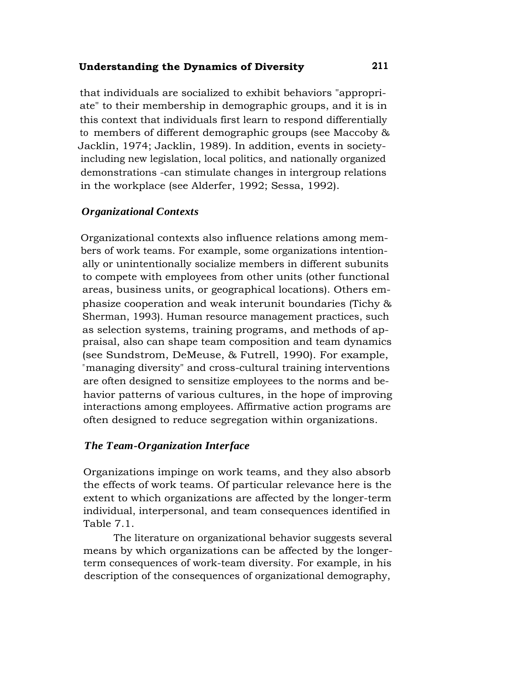that individuals are socialized to exhibit behaviors "appropriate" to their membership in demographic groups, and it is in this context that individuals first learn to respond differentially to members of different demographic groups (see Maccoby & Jacklin, 1974; Jacklin, 1989). In addition, events in societyincluding new legislation, local politics, and nationally organized demonstrations -can stimulate changes in intergroup relations in the workplace (see Alderfer, 1992; Sessa, 1992).

## *Organizational Contexts*

Organizational contexts also influence relations among members of work teams. For example, some organizations intentionally or unintentionally socialize members in different subunits to compete with employees from other units (other functional areas, business units, or geographical locations). Others emphasize cooperation and weak interunit boundaries (Tichy & Sherman, 1993). Human resource management practices, such as selection systems, training programs, and methods of appraisal, also can shape team composition and team dynamics (see Sundstrom, DeMeuse, & Futrell, 1990). For example, "managing diversity" and cross-cultural training interventions are often designed to sensitize employees to the norms and behavior patterns of various cultures, in the hope of improving interactions among employees. Affirmative action programs are often designed to reduce segregation within organizations.

## *The Team-Organization Interface*

Organizations impinge on work teams, and they also absorb the effects of work teams. Of particular relevance here is the extent to which organizations are affected by the longer-term individual, interpersonal, and team consequences identified in Table 7.1.

The literature on organizational behavior suggests several means by which organizations can be affected by the longerterm consequences of work-team diversity. For example, in his description of the consequences of organizational demography,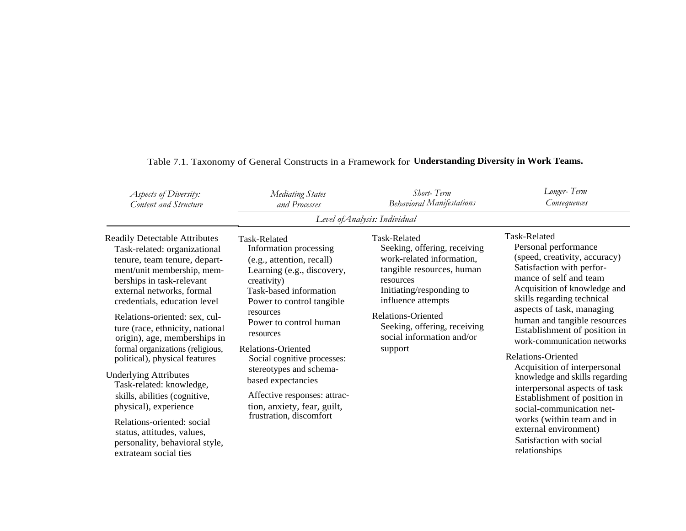| Aspects of Diversity:<br>Content and Structure                                                                                                                                                                                                                                                                                                                                                                                                                                                                                                                                                                            | <b>Mediating States</b><br>and Processes                                                                                                                                                                                                                                                                                                                                                                                                  | Short-Term<br><b>Behavioral Manifestations</b>                                                                                                                                                                                                                                    | Longer-Term<br>Consequences                                                                                                                                                                                                                                                                                                                                                                                                                                                                                                                                                                           |  |  |
|---------------------------------------------------------------------------------------------------------------------------------------------------------------------------------------------------------------------------------------------------------------------------------------------------------------------------------------------------------------------------------------------------------------------------------------------------------------------------------------------------------------------------------------------------------------------------------------------------------------------------|-------------------------------------------------------------------------------------------------------------------------------------------------------------------------------------------------------------------------------------------------------------------------------------------------------------------------------------------------------------------------------------------------------------------------------------------|-----------------------------------------------------------------------------------------------------------------------------------------------------------------------------------------------------------------------------------------------------------------------------------|-------------------------------------------------------------------------------------------------------------------------------------------------------------------------------------------------------------------------------------------------------------------------------------------------------------------------------------------------------------------------------------------------------------------------------------------------------------------------------------------------------------------------------------------------------------------------------------------------------|--|--|
| Level of Analysis: Individual                                                                                                                                                                                                                                                                                                                                                                                                                                                                                                                                                                                             |                                                                                                                                                                                                                                                                                                                                                                                                                                           |                                                                                                                                                                                                                                                                                   |                                                                                                                                                                                                                                                                                                                                                                                                                                                                                                                                                                                                       |  |  |
| <b>Readily Detectable Attributes</b><br>Task-related: organizational<br>tenure, team tenure, depart-<br>ment/unit membership, mem-<br>berships in task-relevant<br>external networks, formal<br>credentials, education level<br>Relations-oriented: sex, cul-<br>ture (race, ethnicity, national<br>origin), age, memberships in<br>formal organizations (religious,<br>political), physical features<br><b>Underlying Attributes</b><br>Task-related: knowledge,<br>skills, abilities (cognitive,<br>physical), experience<br>Relations-oriented: social<br>status, attitudes, values,<br>personality, behavioral style, | <b>Task-Related</b><br>Information processing<br>(e.g., attention, recall)<br>Learning (e.g., discovery,<br>creativity)<br>Task-based information<br>Power to control tangible<br>resources<br>Power to control human<br>resources<br><b>Relations-Oriented</b><br>Social cognitive processes:<br>stereotypes and schema-<br>based expectancies<br>Affective responses: attrac-<br>tion, anxiety, fear, guilt,<br>frustration, discomfort | <b>Task-Related</b><br>Seeking, offering, receiving<br>work-related information,<br>tangible resources, human<br>resources<br>Initiating/responding to<br>influence attempts<br><b>Relations-Oriented</b><br>Seeking, offering, receiving<br>social information and/or<br>support | <b>Task-Related</b><br>Personal performance<br>(speed, creativity, accuracy)<br>Satisfaction with perfor-<br>mance of self and team<br>Acquisition of knowledge and<br>skills regarding technical<br>aspects of task, managing<br>human and tangible resources<br>Establishment of position in<br>work-communication networks<br>Relations-Oriented<br>Acquisition of interpersonal<br>knowledge and skills regarding<br>interpersonal aspects of task<br>Establishment of position in<br>social-communication net-<br>works (within team and in<br>external environment)<br>Satisfaction with social |  |  |
| extrateam social ties                                                                                                                                                                                                                                                                                                                                                                                                                                                                                                                                                                                                     |                                                                                                                                                                                                                                                                                                                                                                                                                                           |                                                                                                                                                                                                                                                                                   | relationships                                                                                                                                                                                                                                                                                                                                                                                                                                                                                                                                                                                         |  |  |

# Table 7.1. Taxonomy of General Constructs in a Framework for **Understanding Diversity in Work Teams.**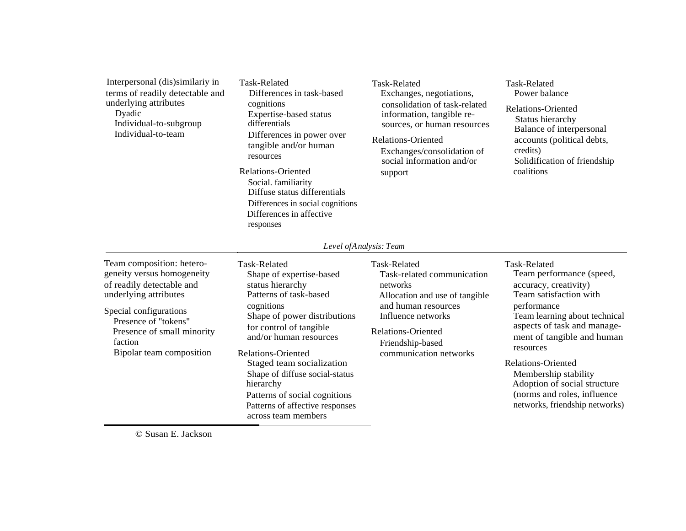Interpersonal (dis)similariy in Task-Related Task-Related Task-Related Task-Related Task-Related Task-Related Task-Related Task-Related Task-Related Task-Related Task-Related Task-Related Task-Related Task-Related Exchange terms of readily detectable and Difference<br>underlying attributes cognitions

- Underlying attributes<br>
Dyadic Expertise-based status<br>
Individual-to-subgroup differentials<br>
Individual-to-team<br>
Lations-Oriented Status hierarchy<br>
Individual-to-team<br>
Lations-Oriented Status Balance of interpersonal<br>
Latio Relations-Oriented support coalitions Social. familiarity Diffuse status differentials Differences in social cognitions Differences in affective responses
	-
	- resources<br>resources social information and/or Solidification of friendship

#### *Level ofAnalysis: Team*

| Team composition: hetero-<br>geneity versus homogeneity<br>of readily detectable and<br>underlying attributes<br>Special configurations<br>Presence of "tokens"<br>Presence of small minority<br>faction<br>Bipolar team composition | Task-Related<br>Shape of expertise-based<br>status hierarchy<br>Patterns of task-based<br>cognitions<br>Shape of power distributions<br>for control of tangible<br>and/or human resources<br>Relations-Oriented<br>Staged team socialization<br>Shape of diffuse social-status<br>hierarchy<br>Patterns of social cognitions | Task-Related<br>Task-related communication<br>networks<br>Allocation and use of tangible<br>and human resources<br>Influence networks<br>Relations-Oriented<br>Friendship-based<br>communication networks | Task-Related<br>Team performance (speed,<br>accuracy, creativity)<br>Team satisfaction with<br>performance<br>Team learning about technical<br>aspects of task and manage-<br>ment of tangible and human<br>resources<br><b>Relations-Oriented</b><br>Membership stability<br>Adoption of social structure<br>(norms and roles, influence) |
|--------------------------------------------------------------------------------------------------------------------------------------------------------------------------------------------------------------------------------------|------------------------------------------------------------------------------------------------------------------------------------------------------------------------------------------------------------------------------------------------------------------------------------------------------------------------------|-----------------------------------------------------------------------------------------------------------------------------------------------------------------------------------------------------------|--------------------------------------------------------------------------------------------------------------------------------------------------------------------------------------------------------------------------------------------------------------------------------------------------------------------------------------------|
|                                                                                                                                                                                                                                      | Patterns of affective responses<br>across team members                                                                                                                                                                                                                                                                       |                                                                                                                                                                                                           | networks, friendship networks)                                                                                                                                                                                                                                                                                                             |

© Susan E. Jackson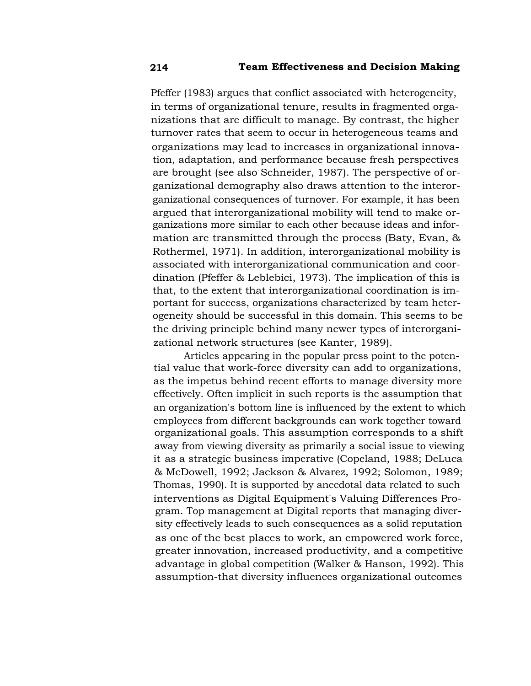#### **Team Effectiveness and Decision Making**

Pfeffer (1983) argues that conflict associated with heterogeneity, in terms of organizational tenure, results in fragmented organizations that are difficult to manage. By contrast, the higher turnover rates that seem to occur in heterogeneous teams and organizations may lead to increases in organizational innovation, adaptation, and performance because fresh perspectives are brought (see also Schneider, 1987). The perspective of organizational demography also draws attention to the interorganizational consequences of turnover. For example, it has been argued that interorganizational mobility will tend to make organizations more similar to each other because ideas and information are transmitted through the process (Baty, Evan, & Rothermel, 1971). In addition, interorganizational mobility is associated with interorganizational communication and coordination (Pfeffer & Leblebici, 1973). The implication of this is that, to the extent that interorganizational coordination is important for success, organizations characterized by team heterogeneity should be successful in this domain. This seems to be the driving principle behind many newer types of interorganizational network structures (see Kanter, 1989).

**214**

Articles appearing in the popular press point to the potential value that work-force diversity can add to organizations, as the impetus behind recent efforts to manage diversity more effectively. Often implicit in such reports is the assumption that an organization's bottom line is influenced by the extent to which employees from different backgrounds can work together toward organizational goals. This assumption corresponds to a shift away from viewing diversity as primarily a social issue to viewing it as a strategic business imperative (Copeland, 1988; DeLuca & McDowell, 1992; Jackson & Alvarez, 1992; Solomon, 1989; Thomas, 1990). It is supported by anecdotal data related to such interventions as Digital Equipment's Valuing Differences Program. Top management at Digital reports that managing diversity effectively leads to such consequences as a solid reputation as one of the best places to work, an empowered work force, greater innovation, increased productivity, and a competitive advantage in global competition (Walker & Hanson, 1992). This assumption-that diversity influences organizational outcomes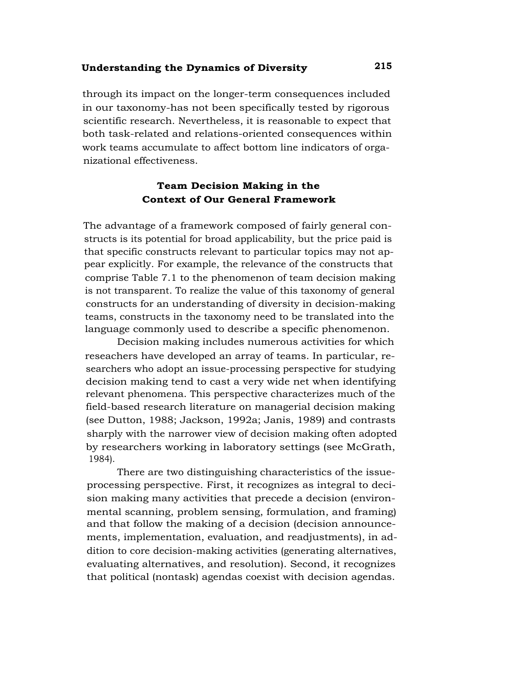through its impact on the longer-term consequences included in our taxonomy-has not been specifically tested by rigorous scientific research. Nevertheless, it is reasonable to expect that both task-related and relations-oriented consequences within work teams accumulate to affect bottom line indicators of organizational effectiveness.

## **Team Decision Making in the Context of Our General Framework**

The advantage of a framework composed of fairly general constructs is its potential for broad applicability, but the price paid is that specific constructs relevant to particular topics may not appear explicitly. For example, the relevance of the constructs that comprise Table 7.1 to the phenomenon of team decision making is not transparent. To realize the value of this taxonomy of general constructs for an understanding of diversity in decision-making teams, constructs in the taxonomy need to be translated into the language commonly used to describe a specific phenomenon.

Decision making includes numerous activities for which reseachers have developed an array of teams. In particular, researchers who adopt an issue-processing perspective for studying decision making tend to cast a very wide net when identifying relevant phenomena. This perspective characterizes much of the field-based research literature on managerial decision making (see Dutton, 1988; Jackson, 1992a; Janis, 1989) and contrasts sharply with the narrower view of decision making often adopted by researchers working in laboratory settings (see McGrath, 1984).

There are two distinguishing characteristics of the issueprocessing perspective. First, it recognizes as integral to decision making many activities that precede a decision (environmental scanning, problem sensing, formulation, and framing) and that follow the making of a decision (decision announcements, implementation, evaluation, and readjustments), in addition to core decision-making activities (generating alternatives, evaluating alternatives, and resolution). Second, it recognizes that political (nontask) agendas coexist with decision agendas.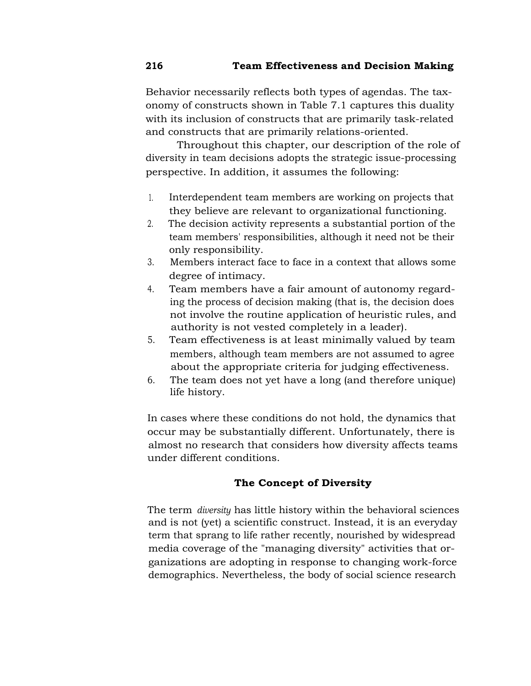Behavior necessarily reflects both types of agendas. The taxonomy of constructs shown in Table 7.1 captures this duality with its inclusion of constructs that are primarily task-related and constructs that are primarily relations-oriented.

Throughout this chapter, our description of the role of diversity in team decisions adopts the strategic issue-processing perspective. In addition, it assumes the following:

- 1. Interdependent team members are working on projects that they believe are relevant to organizational functioning.
- 2. The decision activity represents a substantial portion of the team members' responsibilities, although it need not be their only responsibility.
- 3. Members interact face to face in a context that allows some degree of intimacy.
- 4. Team members have a fair amount of autonomy regarding the process of decision making (that is, the decision does not involve the routine application of heuristic rules, and authority is not vested completely in a leader).
- 5. Team effectiveness is at least minimally valued by team members, although team members are not assumed to agree about the appropriate criteria for judging effectiveness.
- 6. The team does not yet have a long (and therefore unique) life history.

In cases where these conditions do not hold, the dynamics that occur may be substantially different. Unfortunately, there is almost no research that considers how diversity affects teams under different conditions.

## **The Concept of Diversity**

The term *diversity* has little history within the behavioral sciences and is not (yet) a scientific construct. Instead, it is an everyday term that sprang to life rather recently, nourished by widespread media coverage of the "managing diversity" activities that organizations are adopting in response to changing work-force demographics. Nevertheless, the body of social science research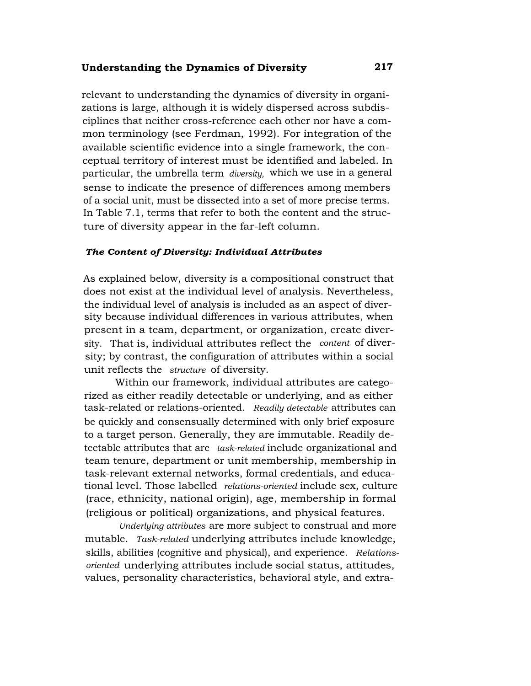relevant to understanding the dynamics of diversity in organizations is large, although it is widely dispersed across subdisciplines that neither cross-reference each other nor have a common terminology (see Ferdman, 1992). For integration of the available scientific evidence into a single framework, the conceptual territory of interest must be identified and labeled. In particular, the umbrella term *diversity,* which we use in a general sense to indicate the presence of differences among members of a social unit, must be dissected into a set of more precise terms. In Table 7.1, terms that refer to both the content and the structure of diversity appear in the far-left column.

#### *The Content of Diversity: Individual Attributes*

As explained below, diversity is a compositional construct that does not exist at the individual level of analysis. Nevertheless, the individual level of analysis is included as an aspect of diversity because individual differences in various attributes, when present in a team, department, or organization, create diversity. That is, individual attributes reflect the *content* of diversity; by contrast, the configuration of attributes within a social unit reflects the *structure* of diversity.

Within our framework, individual attributes are categorized as either readily detectable or underlying, and as either task-related or relations-oriented. *Readily detectable* attributes can be quickly and consensually determined with only brief exposure to a target person. Generally, they are immutable. Readily detectable attributes that are *task-related* include organizational and team tenure, department or unit membership, membership in task-relevant external networks, formal credentials, and educational level. Those labelled *relations-oriented* include sex, culture (race, ethnicity, national origin), age, membership in formal (religious or political) organizations, and physical features.

*Underlying attributes* are more subject to construal and more mutable. *Task-related* underlying attributes include knowledge, skills, abilities (cognitive and physical), and experience. *Relationsoriented* underlying attributes include social status, attitudes, values, personality characteristics, behavioral style, and extra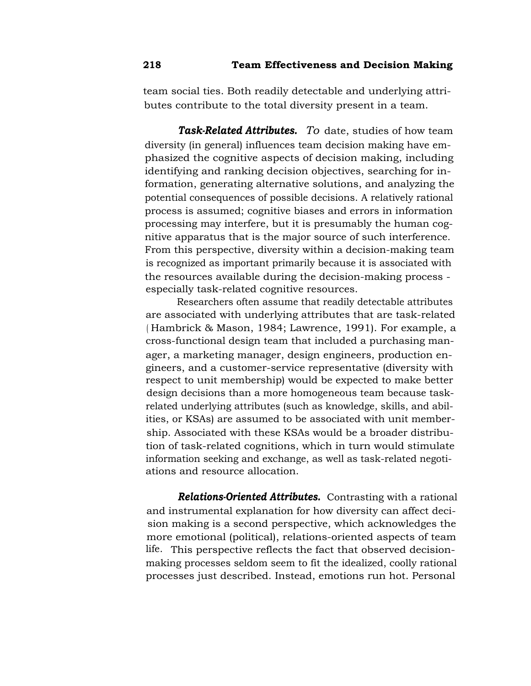team social ties. Both readily detectable and underlying attributes contribute to the total diversity present in a team.

*Task-Related Attributes. To* date, studies of how team diversity (in general) influences team decision making have emphasized the cognitive aspects of decision making, including identifying and ranking decision objectives, searching for information, generating alternative solutions, and analyzing the potential consequences of possible decisions. A relatively rational process is assumed; cognitive biases and errors in information processing may interfere, but it is presumably the human cognitive apparatus that is the major source of such interference. From this perspective, diversity within a decision-making team is recognized as important primarily because it is associated with the resources available during the decision-making process especially task-related cognitive resources.

Researchers often assume that readily detectable attributes are associated with underlying attributes that are task-related ( Hambrick & Mason, 1984; Lawrence, 1991). For example, a cross-functional design team that included a purchasing manager, a marketing manager, design engineers, production engineers, and a customer-service representative (diversity with respect to unit membership) would be expected to make better design decisions than a more homogeneous team because taskrelated underlying attributes (such as knowledge, skills, and abilities, or KSAs) are assumed to be associated with unit membership. Associated with these KSAs would be a broader distribution of task-related cognitions, which in turn would stimulate information seeking and exchange, as well as task-related negotiations and resource allocation.

*Relations-Oriented Attributes.* Contrasting with a rational and instrumental explanation for how diversity can affect decision making is a second perspective, which acknowledges the more emotional (political), relations-oriented aspects of team life. This perspective reflects the fact that observed decisionmaking processes seldom seem to fit the idealized, coolly rational processes just described. Instead, emotions run hot. Personal

**218**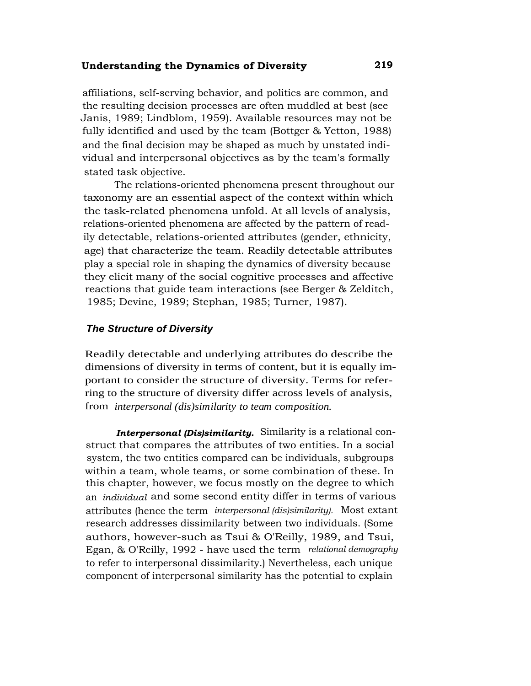affiliations, self-serving behavior, and politics are common, and the resulting decision processes are often muddled at best (see Janis, 1989; Lindblom, 1959). Available resources may not be fully identified and used by the team (Bottger & Yetton, 1988) and the final decision may be shaped as much by unstated individual and interpersonal objectives as by the team's formally stated task objective.

The relations-oriented phenomena present throughout our taxonomy are an essential aspect of the context within which the task-related phenomena unfold. At all levels of analysis, relations-oriented phenomena are affected by the pattern of readily detectable, relations-oriented attributes (gender, ethnicity, age) that characterize the team. Readily detectable attributes play a special role in shaping the dynamics of diversity because they elicit many of the social cognitive processes and affective reactions that guide team interactions (see Berger & Zelditch, 1985; Devine, 1989; Stephan, 1985; Turner, 1987).

#### *The Structure of Diversity*

Readily detectable and underlying attributes do describe the dimensions of diversity in terms of content, but it is equally important to consider the structure of diversity. Terms for referring to the structure of diversity differ across levels of analysis, from *interpersonal (dis)similarity to team composition.*

*Interpersonal (Dis)similarity.* Similarity is a relational construct that compares the attributes of two entities. In a social system, the two entities compared can be individuals, subgroups within a team, whole teams, or some combination of these. In this chapter, however, we focus mostly on the degree to which an *individual* and some second entity differ in terms of various attributes (hence the term *interpersonal (dis)similarity).* Most extant research addresses dissimilarity between two individuals. (Some authors, however-such as Tsui & O'Reilly, 1989, and Tsui, Egan, & O'Reilly, 1992 - have used the term *relational demography* to refer to interpersonal dissimilarity.) Nevertheless, each unique component of interpersonal similarity has the potential to explain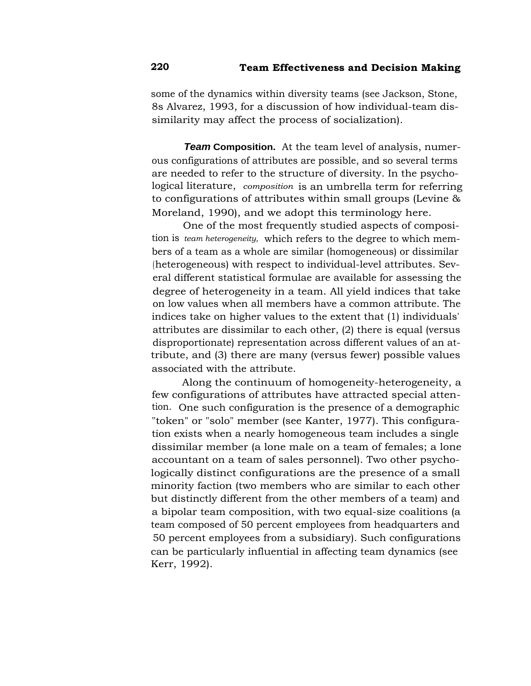#### **Team Effectiveness and Decision Making**

some of the dynamics within diversity teams (see Jackson, Stone, 8s Alvarez, 1993, for a discussion of how individual-team dissimilarity may affect the process of socialization).

**Team Composition.** At the team level of analysis, numerous configurations of attributes are possible, and so several terms are needed to refer to the structure of diversity. In the psychological literature, *composition* is an umbrella term for referring to configurations of attributes within small groups (Levine & Moreland, 1990), and we adopt this terminology here.

One of the most frequently studied aspects of composition is *team heterogeneity,* which refers to the degree to which members of a team as a whole are similar (homogeneous) or dissimilar (heterogeneous) with respect to individual-level attributes. Several different statistical formulae are available for assessing the degree of heterogeneity in a team. All yield indices that take on low values when all members have a common attribute. The indices take on higher values to the extent that (1) individuals' attributes are dissimilar to each other, (2) there is equal (versus disproportionate) representation across different values of an attribute, and (3) there are many (versus fewer) possible values associated with the attribute.

Along the continuum of homogeneity-heterogeneity, a few configurations of attributes have attracted special attention. One such configuration is the presence of a demographic "token" or "solo" member (see Kanter, 1977). This configuration exists when a nearly homogeneous team includes a single dissimilar member (a lone male on a team of females; a lone accountant on a team of sales personnel). Two other psychologically distinct configurations are the presence of a small minority faction (two members who are similar to each other but distinctly different from the other members of a team) and a bipolar team composition, with two equal-size coalitions (a team composed of 50 percent employees from headquarters and 50 percent employees from a subsidiary). Such configurations can be particularly influential in affecting team dynamics (see Kerr, 1992).

## **220**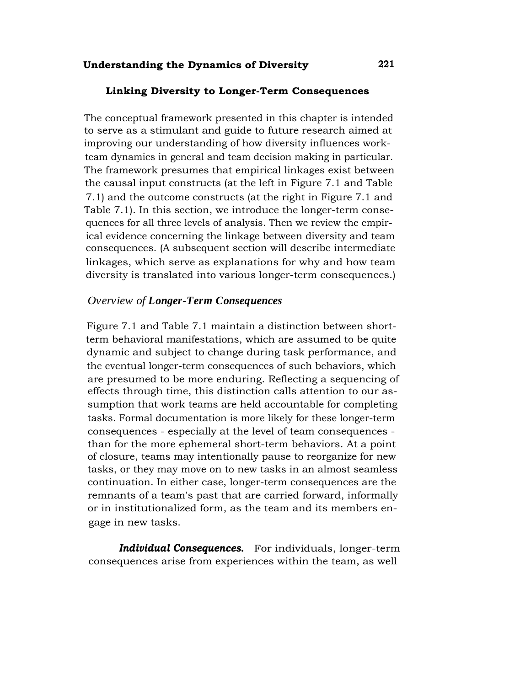#### **Linking Diversity to Longer-Term Consequences**

The conceptual framework presented in this chapter is intended to serve as a stimulant and guide to future research aimed at improving our understanding of how diversity influences workteam dynamics in general and team decision making in particular. The framework presumes that empirical linkages exist between the causal input constructs (at the left in Figure 7.1 and Table 7.1) and the outcome constructs (at the right in Figure 7.1 and Table 7.1). In this section, we introduce the longer-term consequences for all three levels of analysis. Then we review the empirical evidence concerning the linkage between diversity and team consequences. (A subsequent section will describe intermediate linkages, which serve as explanations for why and how team diversity is translated into various longer-term consequences.)

## *Overview of Longer-Term Consequences*

Figure 7.1 and Table 7.1 maintain a distinction between shortterm behavioral manifestations, which are assumed to be quite dynamic and subject to change during task performance, and the eventual longer-term consequences of such behaviors, which are presumed to be more enduring. Reflecting a sequencing of effects through time, this distinction calls attention to our assumption that work teams are held accountable for completing tasks. Formal documentation is more likely for these longer-term consequences - especially at the level of team consequences than for the more ephemeral short-term behaviors. At a point of closure, teams may intentionally pause to reorganize for new tasks, or they may move on to new tasks in an almost seamless continuation. In either case, longer-term consequences are the remnants of a team's past that are carried forward, informally or in institutionalized form, as the team and its members engage in new tasks.

*Individual Consequences.* For individuals, longer-term consequences arise from experiences within the team, as well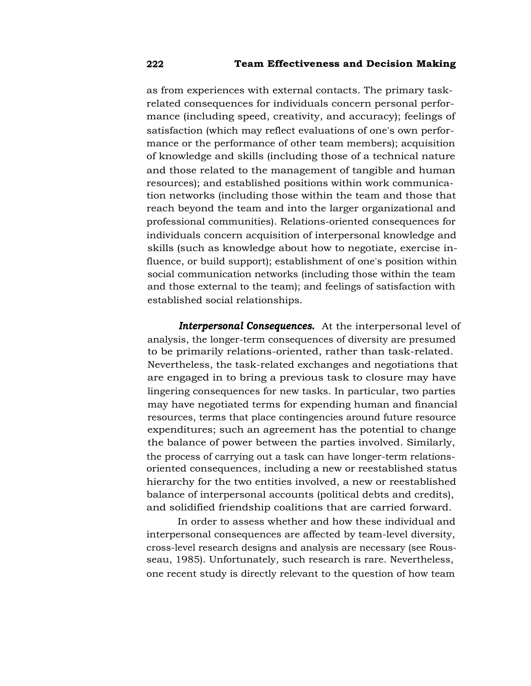as from experiences with external contacts. The primary taskrelated consequences for individuals concern personal performance (including speed, creativity, and accuracy); feelings of satisfaction (which may reflect evaluations of one's own performance or the performance of other team members); acquisition of knowledge and skills (including those of a technical nature and those related to the management of tangible and human resources); and established positions within work communication networks (including those within the team and those that reach beyond the team and into the larger organizational and professional communities). Relations-oriented consequences for individuals concern acquisition of interpersonal knowledge and skills (such as knowledge about how to negotiate, exercise influence, or build support); establishment of one's position within social communication networks (including those within the team and those external to the team); and feelings of satisfaction with established social relationships.

*Interpersonal Consequences.* At the interpersonal level of analysis, the longer-term consequences of diversity are presumed to be primarily relations-oriented, rather than task-related. Nevertheless, the task-related exchanges and negotiations that are engaged in to bring a previous task to closure may have lingering consequences for new tasks. In particular, two parties may have negotiated terms for expending human and financial resources, terms that place contingencies around future resource expenditures; such an agreement has the potential to change the balance of power between the parties involved. Similarly, the process of carrying out a task can have longer-term relationsoriented consequences, including a new or reestablished status hierarchy for the two entities involved, a new or reestablished balance of interpersonal accounts (political debts and credits), and solidified friendship coalitions that are carried forward.

In order to assess whether and how these individual and interpersonal consequences are affected by team-level diversity, cross-level research designs and analysis are necessary (see Rousseau, 1985). Unfortunately, such research is rare. Nevertheless, one recent study is directly relevant to the question of how team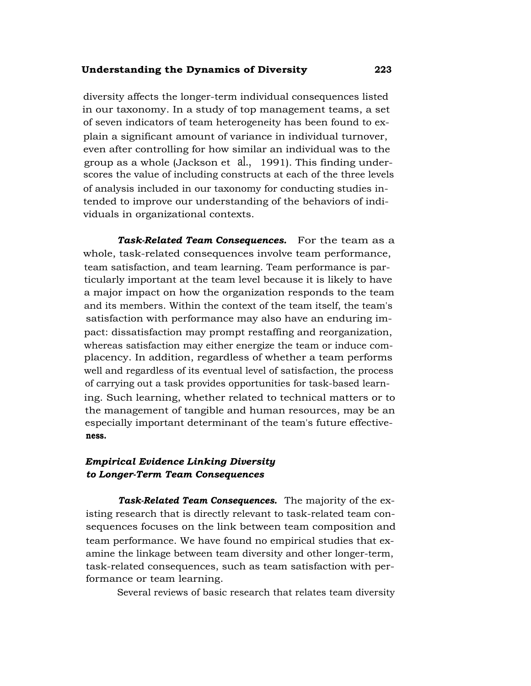diversity affects the longer-term individual consequences listed in our taxonomy. In a study of top management teams, a set of seven indicators of team heterogeneity has been found to explain a significant amount of variance in individual turnover, even after controlling for how similar an individual was to the group as a whole (Jackson et al., 1991). This finding underscores the value of including constructs at each of the three levels of analysis included in our taxonomy for conducting studies intended to improve our understanding of the behaviors of individuals in organizational contexts.

*Task-Related Team Consequences.* For the team as a whole, task-related consequences involve team performance, team satisfaction, and team learning. Team performance is particularly important at the team level because it is likely to have a major impact on how the organization responds to the team and its members. Within the context of the team itself, the team's satisfaction with performance may also have an enduring impact: dissatisfaction may prompt restaffing and reorganization, whereas satisfaction may either energize the team or induce complacency. In addition, regardless of whether a team performs well and regardless of its eventual level of satisfaction, the process of carrying out a task provides opportunities for task-based learning. Such learning, whether related to technical matters or to the management of tangible and human resources, may be an especially important determinant of the team's future effective**ness.**

## *Empirical Evidence Linking Diversity to Longer-Term Team Consequences*

*Task-Related Team Consequences.* The majority of the existing research that is directly relevant to task-related team consequences focuses on the link between team composition and team performance. We have found no empirical studies that examine the linkage between team diversity and other longer-term, task-related consequences, such as team satisfaction with performance or team learning.

Several reviews of basic research that relates team diversity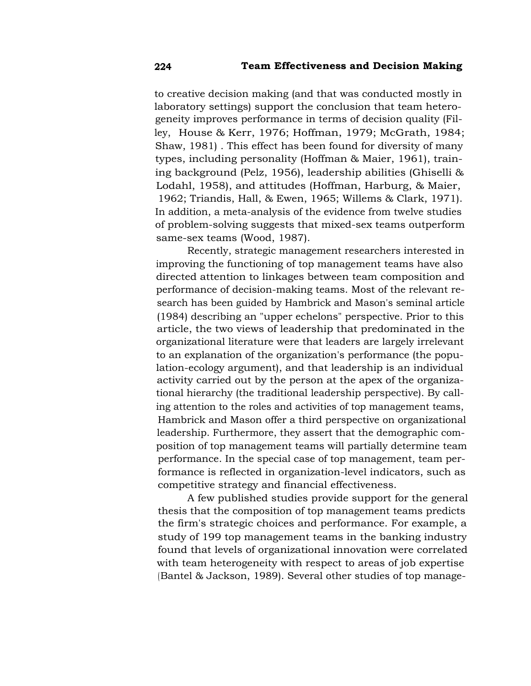to creative decision making (and that was conducted mostly in laboratory settings) support the conclusion that team heterogeneity improves performance in terms of decision quality (Filley, House & Kerr, 1976; Hoffman, 1979; McGrath, 1984; Shaw, 1981) . This effect has been found for diversity of many types, including personality (Hoffman & Maier, 1961), training background (Pelz, 1956), leadership abilities (Ghiselli & Lodahl, 1958), and attitudes (Hoffman, Harburg, & Maier, 1962; Triandis, Hall, & Ewen, 1965; Willems & Clark, 1971). In addition, a meta-analysis of the evidence from twelve studies of problem-solving suggests that mixed-sex teams outperform same-sex teams (Wood, 1987).

Recently, strategic management researchers interested in improving the functioning of top management teams have also directed attention to linkages between team composition and performance of decision-making teams. Most of the relevant research has been guided by Hambrick and Mason's seminal article (1984) describing an "upper echelons" perspective. Prior to this article, the two views of leadership that predominated in the organizational literature were that leaders are largely irrelevant to an explanation of the organization's performance (the population-ecology argument), and that leadership is an individual activity carried out by the person at the apex of the organizational hierarchy (the traditional leadership perspective). By calling attention to the roles and activities of top management teams, Hambrick and Mason offer a third perspective on organizational leadership. Furthermore, they assert that the demographic composition of top management teams will partially determine team performance. In the special case of top management, team performance is reflected in organization-level indicators, such as competitive strategy and financial effectiveness.

A few published studies provide support for the general thesis that the composition of top management teams predicts the firm's strategic choices and performance. For example, a study of 199 top management teams in the banking industry found that levels of organizational innovation were correlated with team heterogeneity with respect to areas of job expertise (Bantel & Jackson, 1989). Several other studies of top manage-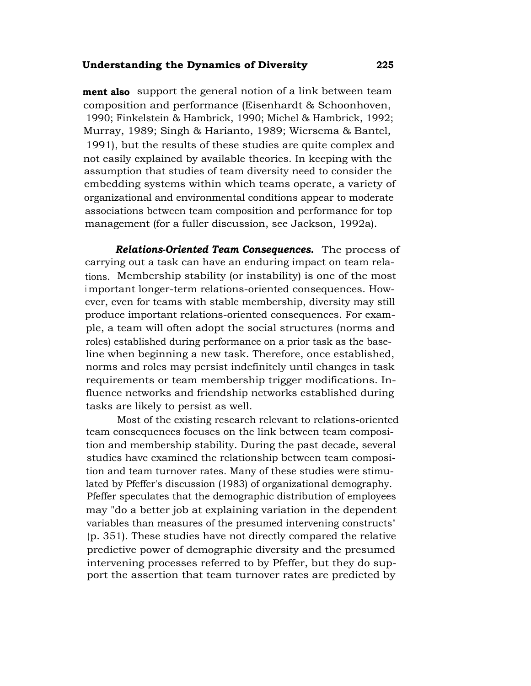**ment also** support the general notion of a link between team composition and performance (Eisenhardt & Schoonhoven, 1990; Finkelstein & Hambrick, 1990; Michel & Hambrick, 1992; Murray, 1989; Singh & Harianto, 1989; Wiersema & Bantel, 1991), but the results of these studies are quite complex and not easily explained by available theories. In keeping with the assumption that studies of team diversity need to consider the embedding systems within which teams operate, a variety of organizational and environmental conditions appear to moderate associations between team composition and performance for top management (for a fuller discussion, see Jackson, 1992a).

*Relations-Oriented Team Consequences.* The process of carrying out a task can have an enduring impact on team relations. Membership stability (or instability) is one of the most <sup>i</sup> mportant longer-term relations-oriented consequences. However, even for teams with stable membership, diversity may still produce important relations-oriented consequences. For example, a team will often adopt the social structures (norms and roles) established during performance on a prior task as the baseline when beginning a new task. Therefore, once established, norms and roles may persist indefinitely until changes in task requirements or team membership trigger modifications. Influence networks and friendship networks established during tasks are likely to persist as well.

Most of the existing research relevant to relations-oriented team consequences focuses on the link between team composition and membership stability. During the past decade, several studies have examined the relationship between team composition and team turnover rates. Many of these studies were stimulated by Pfeffer's discussion (1983) of organizational demography. Pfeffer speculates that the demographic distribution of employees may "do a better job at explaining variation in the dependent variables than measures of the presumed intervening constructs" (p. 351). These studies have not directly compared the relative predictive power of demographic diversity and the presumed intervening processes referred to by Pfeffer, but they do support the assertion that team turnover rates are predicted by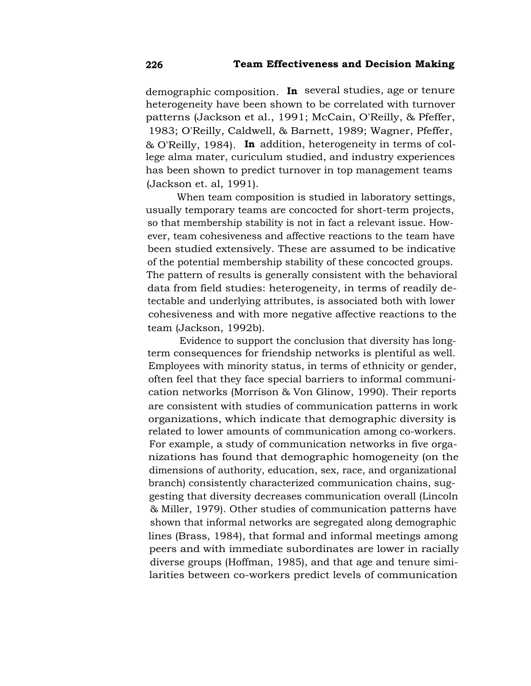demographic composition. **In** several studies, age or tenure heterogeneity have been shown to be correlated with turnover patterns (Jackson et al., 1991; McCain, O'Reilly, & Pfeffer, 1983; O'Reilly, Caldwell, & Barnett, 1989; Wagner, Pfeffer, & O'Reilly, 1984). **In** addition, heterogeneity in terms of college alma mater, curiculum studied, and industry experiences has been shown to predict turnover in top management teams (Jackson et. al, 1991).

When team composition is studied in laboratory settings, usually temporary teams are concocted for short-term projects, so that membership stability is not in fact a relevant issue. However, team cohesiveness and affective reactions to the team have been studied extensively. These are assumed to be indicative of the potential membership stability of these concocted groups. The pattern of results is generally consistent with the behavioral data from field studies: heterogeneity, in terms of readily detectable and underlying attributes, is associated both with lower cohesiveness and with more negative affective reactions to the team (Jackson, 1992b).

Evidence to support the conclusion that diversity has longterm consequences for friendship networks is plentiful as well. Employees with minority status, in terms of ethnicity or gender, often feel that they face special barriers to informal communication networks (Morrison & Von Glinow, 1990). Their reports are consistent with studies of communication patterns in work organizations, which indicate that demographic diversity is related to lower amounts of communication among co-workers. For example, a study of communication networks in five organizations has found that demographic homogeneity (on the dimensions of authority, education, sex, race, and organizational branch) consistently characterized communication chains, suggesting that diversity decreases communication overall (Lincoln & Miller, 1979). Other studies of communication patterns have shown that informal networks are segregated along demographic lines (Brass, 1984), that formal and informal meetings among peers and with immediate subordinates are lower in racially diverse groups (Hoffman, 1985), and that age and tenure similarities between co-workers predict levels of communication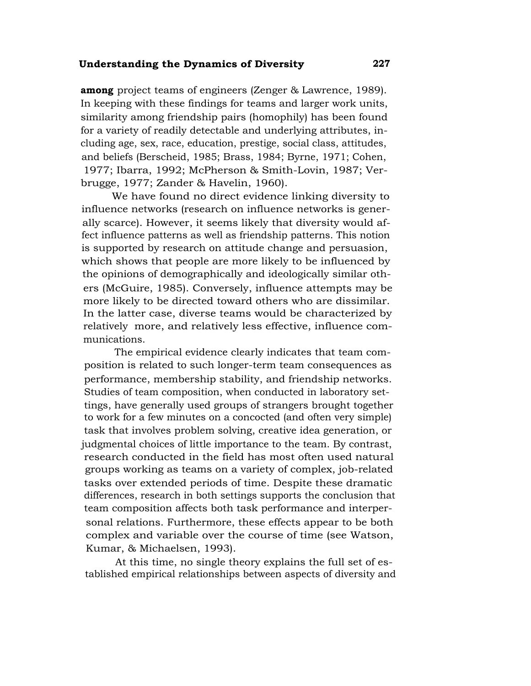**among** project teams of engineers (Zenger & Lawrence, 1989). In keeping with these findings for teams and larger work units, similarity among friendship pairs (homophily) has been found for a variety of readily detectable and underlying attributes, including age, sex, race, education, prestige, social class, attitudes, and beliefs (Berscheid, 1985; Brass, 1984; Byrne, 1971; Cohen, 1977; Ibarra, 1992; McPherson & Smith-Lovin, 1987; Verbrugge, 1977; Zander & Havelin, 1960).

We have found no direct evidence linking diversity to influence networks (research on influence networks is generally scarce). However, it seems likely that diversity would affect influence patterns as well as friendship patterns. This notion is supported by research on attitude change and persuasion, which shows that people are more likely to be influenced by the opinions of demographically and ideologically similar others (McGuire, 1985). Conversely, influence attempts may be more likely to be directed toward others who are dissimilar. In the latter case, diverse teams would be characterized by relatively more, and relatively less effective, influence communications.

The empirical evidence clearly indicates that team composition is related to such longer-term team consequences as performance, membership stability, and friendship networks. Studies of team composition, when conducted in laboratory settings, have generally used groups of strangers brought together to work for a few minutes on a concocted (and often very simple) task that involves problem solving, creative idea generation, or judgmental choices of little importance to the team. By contrast, research conducted in the field has most often used natural groups working as teams on a variety of complex, job-related tasks over extended periods of time. Despite these dramatic differences, research in both settings supports the conclusion that team composition affects both task performance and interpersonal relations. Furthermore, these effects appear to be both complex and variable over the course of time (see Watson, Kumar, & Michaelsen, 1993).

At this time, no single theory explains the full set of established empirical relationships between aspects of diversity and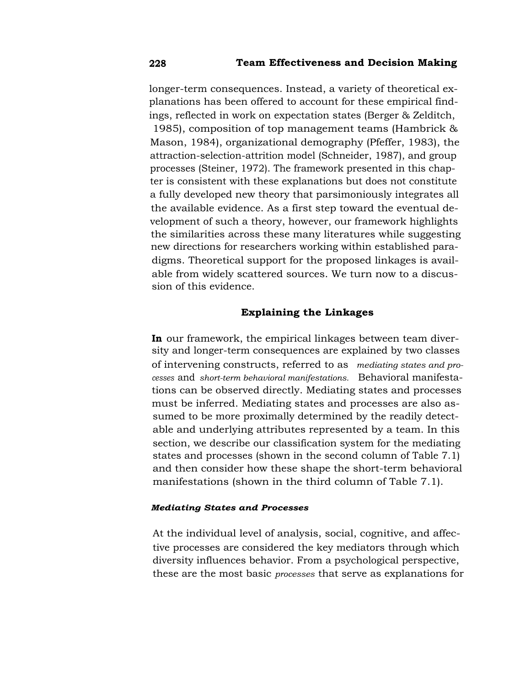longer-term consequences. Instead, a variety of theoretical explanations has been offered to account for these empirical findings, reflected in work on expectation states (Berger & Zelditch, 1985), composition of top management teams (Hambrick & Mason, 1984), organizational demography (Pfeffer, 1983), the attraction-selection-attrition model (Schneider, 1987), and group processes (Steiner, 1972). The framework presented in this chapter is consistent with these explanations but does not constitute a fully developed new theory that parsimoniously integrates all the available evidence. As a first step toward the eventual development of such a theory, however, our framework highlights the similarities across these many literatures while suggesting new directions for researchers working within established paradigms. Theoretical support for the proposed linkages is available from widely scattered sources. We turn now to a discussion of this evidence.

## **Explaining the Linkages**

**In** our framework, the empirical linkages between team diversity and longer-term consequences are explained by two classes of intervening constructs, referred to as *mediating states and processes* and *short-term behavioral manifestations.* Behavioral manifestations can be observed directly. Mediating states and processes must be inferred. Mediating states and processes are also assumed to be more proximally determined by the readily detectable and underlying attributes represented by a team. In this section, we describe our classification system for the mediating states and processes (shown in the second column of Table 7.1) and then consider how these shape the short-term behavioral manifestations (shown in the third column of Table 7.1).

#### *Mediating States and Processes*

At the individual level of analysis, social, cognitive, and affective processes are considered the key mediators through which diversity influences behavior. From a psychological perspective, these are the most basic *processes* that serve as explanations for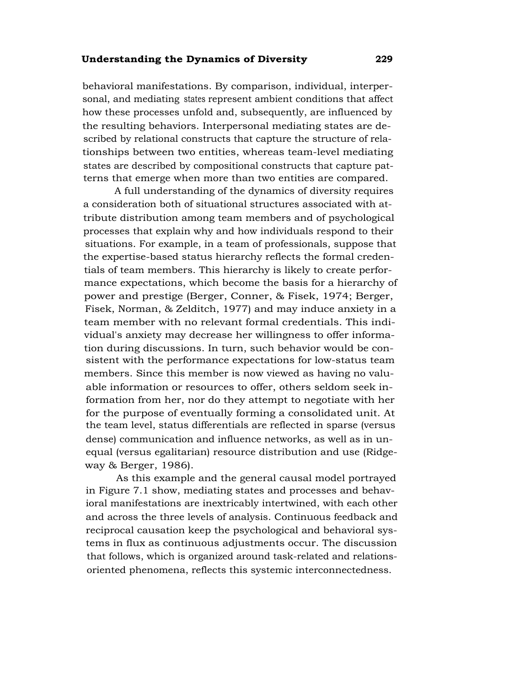behavioral manifestations. By comparison, individual, interpersonal, and mediating states represent ambient conditions that affect how these processes unfold and, subsequently, are influenced by the resulting behaviors. Interpersonal mediating states are described by relational constructs that capture the structure of relationships between two entities, whereas team-level mediating states are described by compositional constructs that capture patterns that emerge when more than two entities are compared.

A full understanding of the dynamics of diversity requires a consideration both of situational structures associated with attribute distribution among team members and of psychological processes that explain why and how individuals respond to their situations. For example, in a team of professionals, suppose that the expertise-based status hierarchy reflects the formal credentials of team members. This hierarchy is likely to create performance expectations, which become the basis for a hierarchy of power and prestige (Berger, Conner, & Fisek, 1974; Berger, Fisek, Norman, & Zelditch, 1977) and may induce anxiety in a team member with no relevant formal credentials. This individual's anxiety may decrease her willingness to offer information during discussions. In turn, such behavior would be consistent with the performance expectations for low-status team members. Since this member is now viewed as having no valuable information or resources to offer, others seldom seek information from her, nor do they attempt to negotiate with her for the purpose of eventually forming a consolidated unit. At the team level, status differentials are reflected in sparse (versus dense) communication and influence networks, as well as in unequal (versus egalitarian) resource distribution and use (Ridgeway & Berger, 1986).

As this example and the general causal model portrayed in Figure 7.1 show, mediating states and processes and behavioral manifestations are inextricably intertwined, with each other and across the three levels of analysis. Continuous feedback and reciprocal causation keep the psychological and behavioral systems in flux as continuous adjustments occur. The discussion that follows, which is organized around task-related and relationsoriented phenomena, reflects this systemic interconnectedness.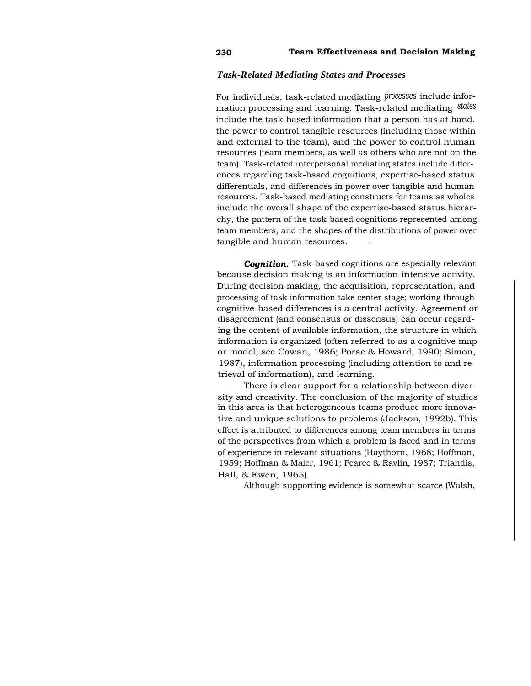#### *Task-Related Mediating States and Processes*

For individuals, task-related mediating *processes* include information processing and learning. Task-related mediating *states* include the task-based information that a person has at hand, the power to control tangible resources (including those within and external to the team), and the power to control human resources (team members, as well as others who are not on the team). Task-related interpersonal mediating states include differences regarding task-based cognitions, expertise-based status differentials, and differences in power over tangible and human resources. Task-based mediating constructs for teams as wholes include the overall shape of the expertise-based status hierarchy, the pattern of the task-based cognitions represented among team members, and the shapes of the distributions of power over tangible and human resources. **Team Effectivenes**<br> **Task-Related Mediating States and P**<br>
For individuals, task-related mediatin<br>
mation processing and learning. Tasl<br>
include the task-based information th<br>
the power to control tangible resources<br>
and

> *Cognition.* Task-based cognitions are especially relevant because decision making is an information-intensive activity. During decision making, the acquisition, representation, and processing of task information take center stage; working through cognitive-based differences is a central activity. Agreement or disagreement (and consensus or dissensus) can occur regarding the content of available information, the structure in which information is organized (often referred to as a cognitive map or model; see Cowan, 1986; Porac & Howard, 1990; Simon, 1987), information processing (including attention to and retrieval of information), and learning.

> There is clear support for a relationship between diversity and creativity. The conclusion of the majority of studies in this area is that heterogeneous teams produce more innovative and unique solutions to problems (Jackson, 1992b). This effect is attributed to differences among team members in terms of the perspectives from which a problem is faced and in terms of experience in relevant situations (Haythorn, 1968; Hoffman, 1959; Hoffman & Maier, 1961; Pearce & Ravlin, 1987; Triandis, Hall, & Ewen, 1965).

Although supporting evidence is somewhat scarce (Walsh,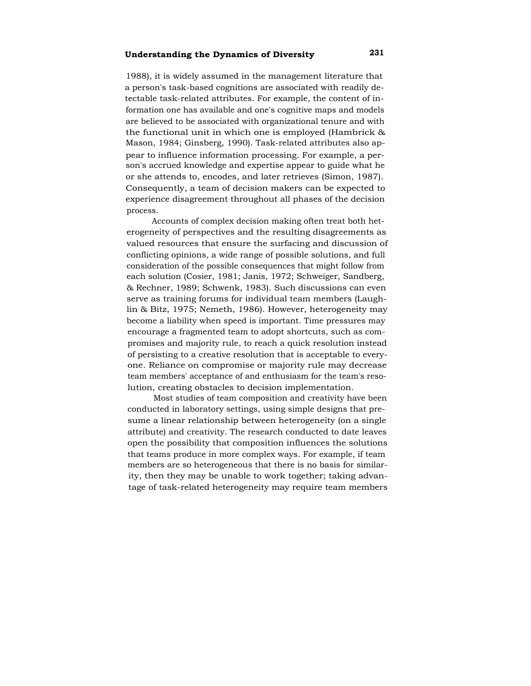1988), it is widely assumed in the management literature that a person's task-based cognitions are associated with readily detectable task-related attributes. For example, the content of information one has available and one's cognitive maps and models are believed to be associated with organizational tenure and with the functional unit in which one is employed (Hambrick & Mason, 1984; Ginsberg, 1990). Task-related attributes also appear to influence information processing. For example, a person's accrued knowledge and expertise appear to guide what he or she attends to, encodes, and later retrieves (Simon, 1987). Consequently, a team of decision makers can be expected to experience disagreement throughout all phases of the decision process.

Accounts of complex decision making often treat both heterogeneity of perspectives and the resulting disagreements as valued resources that ensure the surfacing and discussion of conflicting opinions, a wide range of possible solutions, and full consideration of the possible consequences that might follow from each solution (Cosier, 1981; Janis, 1972; Schweiger, Sandberg, & Rechner, 1989; Schwenk, 1983). Such discussions can even serve as training forums for individual team members (Laughlin & Bitz, 1975; Nemeth, 1986). However, heterogeneity may become a liability when speed is important. Time pressures may encourage a fragmented team to adopt shortcuts, such as compromises and majority rule, to reach a quick resolution instead of persisting to a creative resolution that is acceptable to everyone. Reliance on compromise or majority rule may decrease team members' acceptance of and enthusiasm for the team's resolution, creating obstacles to decision implementation.

Most studies of team composition and creativity have been conducted in laboratory settings, using simple designs that presume a linear relationship between heterogeneity (on a single attribute) and creativity. The research conducted to date leaves open the possibility that composition influences the solutions that teams produce in more complex ways. For example, if team members are so heterogeneous that there is no basis for similarity, then they may be unable to work together; taking advantage of task-related heterogeneity may require team members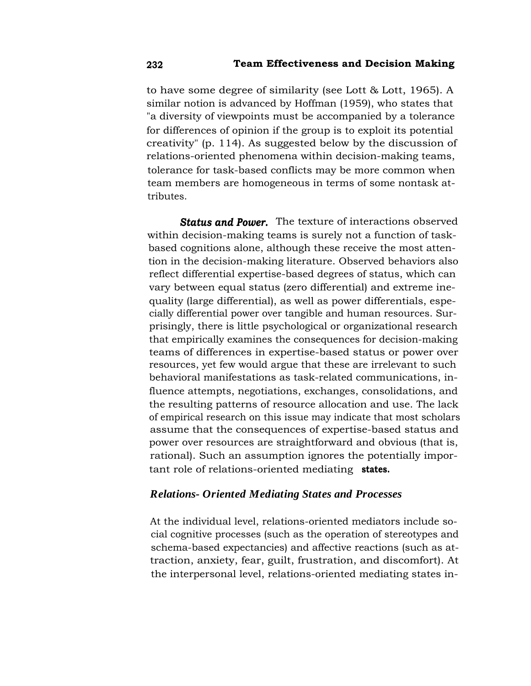to have some degree of similarity (see Lott & Lott, 1965). A similar notion is advanced by Hoffman (1959), who states that "a diversity of viewpoints must be accompanied by a tolerance for differences of opinion if the group is to exploit its potential creativity" (p. 114). As suggested below by the discussion of relations-oriented phenomena within decision-making teams, tolerance for task-based conflicts may be more common when team members are homogeneous in terms of some nontask attributes.

*Status and Power.* The texture of interactions observed within decision-making teams is surely not a function of taskbased cognitions alone, although these receive the most attention in the decision-making literature. Observed behaviors also reflect differential expertise-based degrees of status, which can vary between equal status (zero differential) and extreme inequality (large differential), as well as power differentials, especially differential power over tangible and human resources. Surprisingly, there is little psychological or organizational research that empirically examines the consequences for decision-making teams of differences in expertise-based status or power over resources, yet few would argue that these are irrelevant to such behavioral manifestations as task-related communications, influence attempts, negotiations, exchanges, consolidations, and the resulting patterns of resource allocation and use. The lack of empirical research on this issue may indicate that most scholars assume that the consequences of expertise-based status and power over resources are straightforward and obvious (that is, rational). Such an assumption ignores the potentially important role of relations-oriented mediating **states.**

### *Relations- Oriented Mediating States and Processes*

At the individual level, relations-oriented mediators include social cognitive processes (such as the operation of stereotypes and schema-based expectancies) and affective reactions (such as attraction, anxiety, fear, guilt, frustration, and discomfort). At the interpersonal level, relations-oriented mediating states in-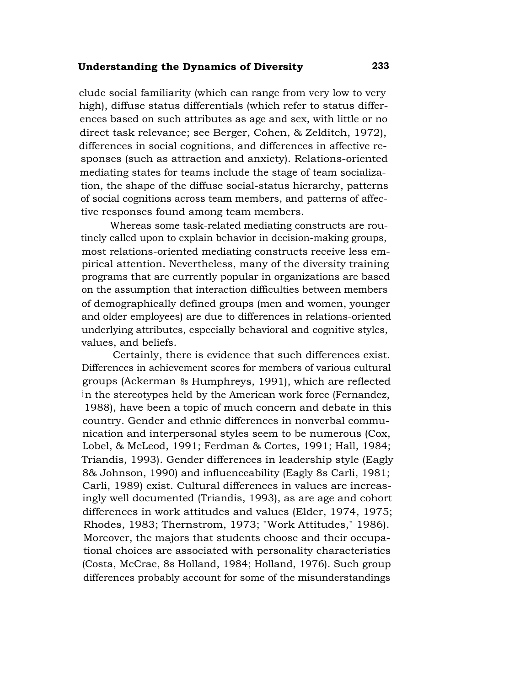clude social familiarity (which can range from very low to very high), diffuse status differentials (which refer to status differences based on such attributes as age and sex, with little or no direct task relevance; see Berger, Cohen, & Zelditch, 1972), differences in social cognitions, and differences in affective responses (such as attraction and anxiety). Relations-oriented mediating states for teams include the stage of team socialization, the shape of the diffuse social-status hierarchy, patterns of social cognitions across team members, and patterns of affective responses found among team members.

Whereas some task-related mediating constructs are routinely called upon to explain behavior in decision-making groups, most relations-oriented mediating constructs receive less empirical attention. Nevertheless, many of the diversity training programs that are currently popular in organizations are based on the assumption that interaction difficulties between members of demographically defined groups (men and women, younger and older employees) are due to differences in relations-oriented underlying attributes, especially behavioral and cognitive styles, values, and beliefs.

Certainly, there is evidence that such differences exist. Differences in achievement scores for members of various cultural groups (Ackerman 8s Humphreys, 1991), which are reflected in the stereotypes held by the American work force (Fernandez, 1988), have been a topic of much concern and debate in this country. Gender and ethnic differences in nonverbal communication and interpersonal styles seem to be numerous (Cox, Lobel, & McLeod, 1991; Ferdman & Cortes, 1991; Hall, 1984; Triandis, 1993). Gender differences in leadership style (Eagly 8& Johnson, 1990) and influenceability (Eagly 8s Carli, 1981; Carli, 1989) exist. Cultural differences in values are increasingly well documented (Triandis, 1993), as are age and cohort differences in work attitudes and values (Elder, 1974, 1975; Rhodes, 1983; Thernstrom, 1973; "Work Attitudes," 1986). Moreover, the majors that students choose and their occupational choices are associated with personality characteristics (Costa, McCrae, 8s Holland, 1984; Holland, 1976). Such group differences probably account for some of the misunderstandings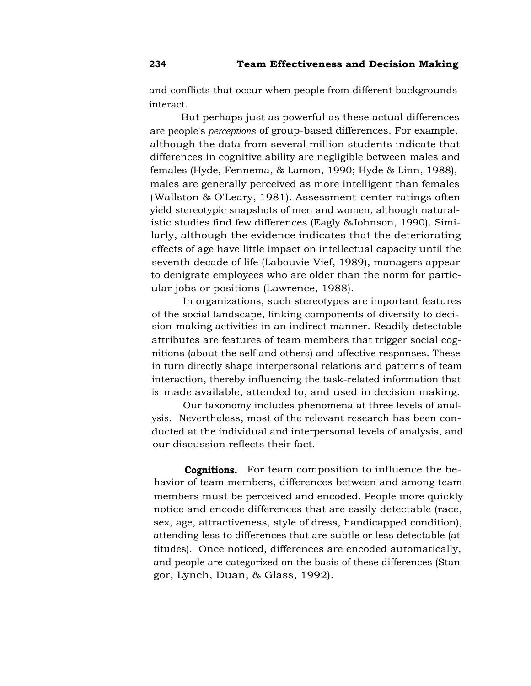and conflicts that occur when people from different backgrounds interact.

But perhaps just as powerful as these actual differences are people's *perceptions* of group-based differences. For example, although the data from several million students indicate that differences in cognitive ability are negligible between males and females (Hyde, Fennema, & Lamon, 1990; Hyde & Linn, 1988), males are generally perceived as more intelligent than females ( Wallston & O'Leary, 1981). Assessment-center ratings often yield stereotypic snapshots of men and women, although naturalistic studies find few differences (Eagly &Johnson, 1990). Similarly, although the evidence indicates that the deteriorating effects of age have little impact on intellectual capacity until the seventh decade of life (Labouvie-Vief, 1989), managers appear to denigrate employees who are older than the norm for particular jobs or positions (Lawrence, 1988).

In organizations, such stereotypes are important features of the social landscape, linking components of diversity to decision-making activities in an indirect manner. Readily detectable attributes are features of team members that trigger social cognitions (about the self and others) and affective responses. These in turn directly shape interpersonal relations and patterns of team interaction, thereby influencing the task-related information that is made available, attended to, and used in decision making.

Our taxonomy includes phenomena at three levels of analysis. Nevertheless, most of the relevant research has been conducted at the individual and interpersonal levels of analysis, and our discussion reflects their fact.

**Cognitions.** For team composition to influence the behavior of team members, differences between and among team members must be perceived and encoded. People more quickly notice and encode differences that are easily detectable (race, sex, age, attractiveness, style of dress, handicapped condition), attending less to differences that are subtle or less detectable (attitudes). Once noticed, differences are encoded automatically, and people are categorized on the basis of these differences (Stangor, Lynch, Duan, & Glass, 1992).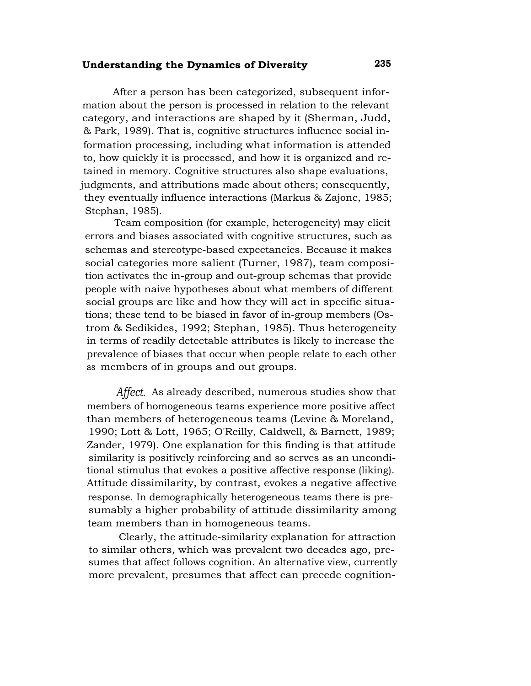After a person has been categorized, subsequent information about the person is processed in relation to the relevant category, and interactions are shaped by it (Sherman, Judd, & Park, 1989). That is, cognitive structures influence social information processing, including what information is attended to, how quickly it is processed, and how it is organized and retained in memory. Cognitive structures also shape evaluations, judgments, and attributions made about others; consequently, they eventually influence interactions (Markus & Zajonc, 1985; Stephan, 1985).

Team composition (for example, heterogeneity) may elicit errors and biases associated with cognitive structures, such as schemas and stereotype-based expectancies. Because it makes social categories more salient (Turner, 1987), team composition activates the in-group and out-group schemas that provide people with naive hypotheses about what members of different social groups are like and how they will act in specific situations; these tend to be biased in favor of in-group members (Ostrom & Sedikides, 1992; Stephan, 1985). Thus heterogeneity in terms of readily detectable attributes is likely to increase the prevalence of biases that occur when people relate to each other as members of in groups and out groups.

*Affect.* As already described, numerous studies show that members of homogeneous teams experience more positive affect than members of heterogeneous teams (Levine & Moreland, 1990; Lott & Lott, 1965; O'Reilly, Caldwell, & Barnett, 1989; Zander, 1979). One explanation for this finding is that attitude similarity is positively reinforcing and so serves as an unconditional stimulus that evokes a positive affective response (liking). Attitude dissimilarity, by contrast, evokes a negative affective response. In demographically heterogeneous teams there is presumably a higher probability of attitude dissimilarity among team members than in homogeneous teams.

Clearly, the attitude-similarity explanation for attraction to similar others, which was prevalent two decades ago, presumes that affect follows cognition. An alternative view, currently more prevalent, presumes that affect can precede cognition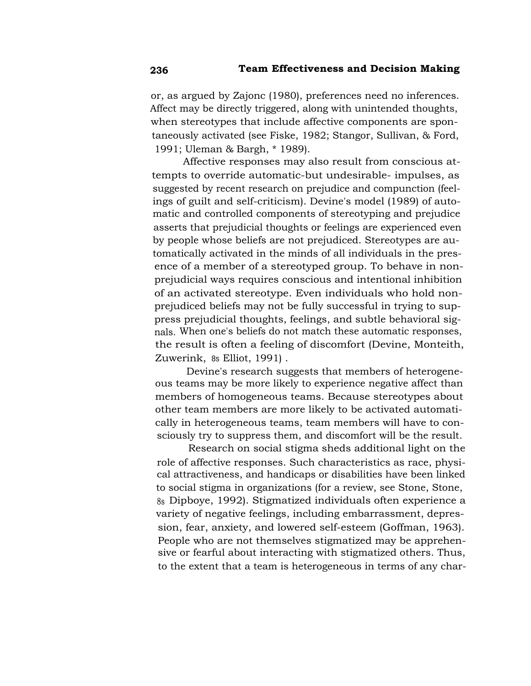or, as argued by Zajonc (1980), preferences need no inferences. Affect may be directly triggered, along with unintended thoughts, when stereotypes that include affective components are spontaneously activated (see Fiske, 1982; Stangor, Sullivan, & Ford, 1991; Uleman & Bargh, \* 1989).

Affective responses may also result from conscious attempts to override automatic-but undesirable- impulses, as suggested by recent research on prejudice and compunction (feelings of guilt and self-criticism). Devine's model (1989) of automatic and controlled components of stereotyping and prejudice asserts that prejudicial thoughts or feelings are experienced even by people whose beliefs are not prejudiced. Stereotypes are automatically activated in the minds of all individuals in the presence of a member of a stereotyped group. To behave in nonprejudicial ways requires conscious and intentional inhibition of an activated stereotype. Even individuals who hold nonprejudiced beliefs may not be fully successful in trying to suppress prejudicial thoughts, feelings, and subtle behavioral signals. When one's beliefs do not match these automatic responses, the result is often a feeling of discomfort (Devine, Monteith, Zuwerink, 8s Elliot, 1991) .

Devine's research suggests that members of heterogeneous teams may be more likely to experience negative affect than members of homogeneous teams. Because stereotypes about other team members are more likely to be activated automatically in heterogeneous teams, team members will have to consciously try to suppress them, and discomfort will be the result.

Research on social stigma sheds additional light on the role of affective responses. Such characteristics as race, physical attractiveness, and handicaps or disabilities have been linked to social stigma in organizations (for a review, see Stone, Stone, 8s Dipboye, 1992). Stigmatized individuals often experience a variety of negative feelings, including embarrassment, depression, fear, anxiety, and lowered self-esteem (Goffman, 1963). People who are not themselves stigmatized may be apprehensive or fearful about interacting with stigmatized others. Thus, to the extent that a team is heterogeneous in terms of any char-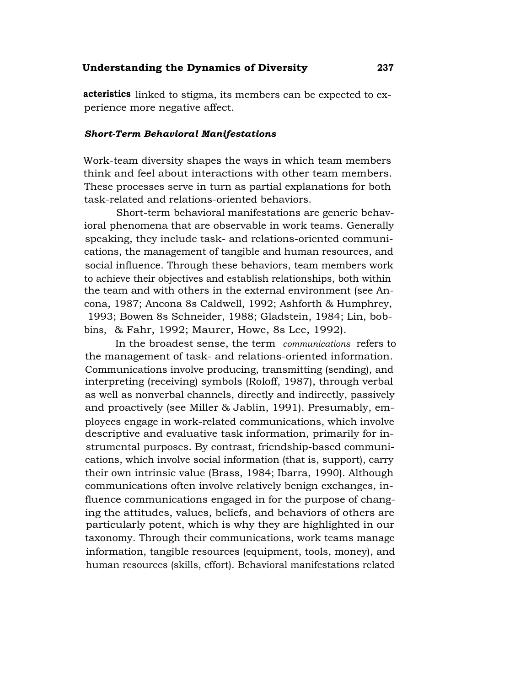**acteristics** linked to stigma, its members can be expected to experience more negative affect.

#### *Short-Term Behavioral Manifestations*

Work-team diversity shapes the ways in which team members think and feel about interactions with other team members. These processes serve in turn as partial explanations for both task-related and relations-oriented behaviors.

Short-term behavioral manifestations are generic behavioral phenomena that are observable in work teams. Generally speaking, they include task- and relations-oriented communications, the management of tangible and human resources, and social influence. Through these behaviors, team members work to achieve their objectives and establish relationships, both within the team and with others in the external environment (see Ancona, 1987; Ancona 8s Caldwell, 1992; Ashforth & Humphrey, 1993; Bowen 8s Schneider, 1988; Gladstein, 1984; Lin, bobbins, & Fahr, 1992; Maurer, Howe, 8s Lee, 1992).

In the broadest sense, the term *communications* refers to the management of task- and relations-oriented information. Communications involve producing, transmitting (sending), and interpreting (receiving) symbols (Roloff, 1987), through verbal as well as nonverbal channels, directly and indirectly, passively and proactively (see Miller & Jablin, 1991). Presumably, employees engage in work-related communications, which involve descriptive and evaluative task information, primarily for instrumental purposes. By contrast, friendship-based communications, which involve social information (that is, support), carry their own intrinsic value (Brass, 1984; Ibarra, 1990). Although communications often involve relatively benign exchanges, influence communications engaged in for the purpose of changing the attitudes, values, beliefs, and behaviors of others are particularly potent, which is why they are highlighted in our taxonomy. Through their communications, work teams manage information, tangible resources (equipment, tools, money), and human resources (skills, effort). Behavioral manifestations related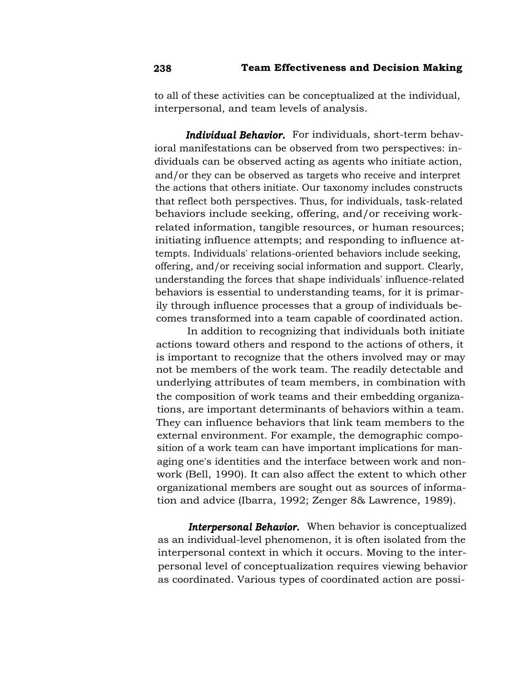## **Team Effectiveness and Decision Making**

to all of these activities can be conceptualized at the individual, interpersonal, and team levels of analysis.

**238**

*Individual Behavior.* For individuals, short-term behavioral manifestations can be observed from two perspectives: individuals can be observed acting as agents who initiate action, and/or they can be observed as targets who receive and interpret the actions that others initiate. Our taxonomy includes constructs that reflect both perspectives. Thus, for individuals, task-related behaviors include seeking, offering, and/or receiving workrelated information, tangible resources, or human resources; initiating influence attempts; and responding to influence attempts. Individuals' relations-oriented behaviors include seeking, offering, and/or receiving social information and support. Clearly, understanding the forces that shape individuals' influence-related behaviors is essential to understanding teams, for it is primarily through influence processes that a group of individuals becomes transformed into a team capable of coordinated action.

In addition to recognizing that individuals both initiate actions toward others and respond to the actions of others, it is important to recognize that the others involved may or may not be members of the work team. The readily detectable and underlying attributes of team members, in combination with the composition of work teams and their embedding organizations, are important determinants of behaviors within a team. They can influence behaviors that link team members to the external environment. For example, the demographic composition of a work team can have important implications for managing one's identities and the interface between work and nonwork (Bell, 1990). It can also affect the extent to which other organizational members are sought out as sources of information and advice (Ibarra, 1992; Zenger 8& Lawrence, 1989).

*Interpersonal Behavior.* When behavior is conceptualized as an individual-level phenomenon, it is often isolated from the interpersonal context in which it occurs. Moving to the interpersonal level of conceptualization requires viewing behavior as coordinated. Various types of coordinated action are possi-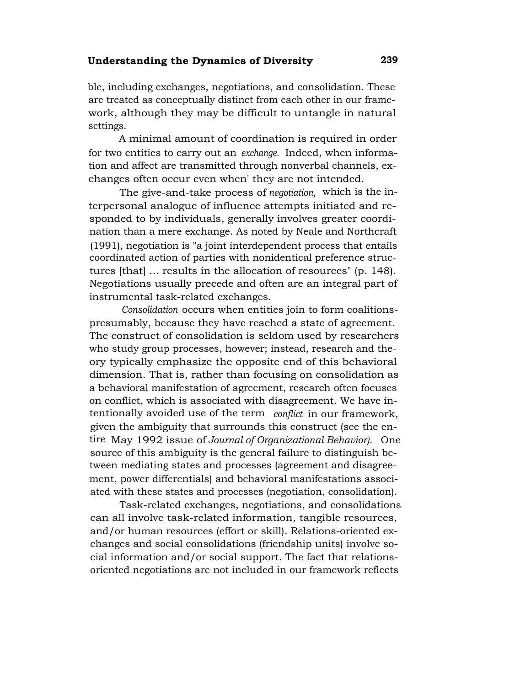ble, including exchanges, negotiations, and consolidation. These are treated as conceptually distinct from each other in our framework, although they may be difficult to untangle in natural settings.

A minimal amount of coordination is required in order for two entities to carry out an *exchange.* Indeed, when information and affect are transmitted through nonverbal channels, exchanges often occur even when' they are not intended.

The give-and-take process of *negotiation,* which is the interpersonal analogue of influence attempts initiated and responded to by individuals, generally involves greater coordination than a mere exchange. As noted by Neale and Northcraft (1991), negotiation is "a joint interdependent process that entails coordinated action of parties with nonidentical preference structures [that] ... results in the allocation of resources" (p. 148). Negotiations usually precede and often are an integral part of instrumental task-related exchanges.

*Consolidation* occurs when entities join to form coalitionspresumably, because they have reached a state of agreement. The construct of consolidation is seldom used by researchers who study group processes, however; instead, research and theory typically emphasize the opposite end of this behavioral dimension. That is, rather than focusing on consolidation as a behavioral manifestation of agreement, research often focuses on conflict, which is associated with disagreement. We have intentionally avoided use of the term *conflict* in our framework, given the ambiguity that surrounds this construct (see the entire May 1992 issue of *Journal of Organizational Behavior).* One source of this ambiguity is the general failure to distinguish between mediating states and processes (agreement and disagreement, power differentials) and behavioral manifestations associated with these states and processes (negotiation, consolidation).

Task-related exchanges, negotiations, and consolidations can all involve task-related information, tangible resources, and/or human resources (effort or skill). Relations-oriented exchanges and social consolidations (friendship units) involve social information and/or social support. The fact that relationsoriented negotiations are not included in our framework reflects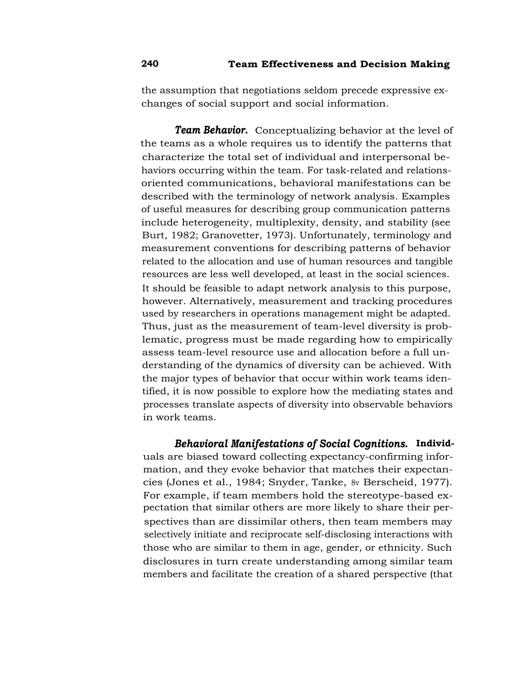the assumption that negotiations seldom precede expressive exchanges of social support and social information.

*Team Behavior.* Conceptualizing behavior at the level of the teams as a whole requires us to identify the patterns that characterize the total set of individual and interpersonal behaviors occurring within the team. For task-related and relationsoriented communications, behavioral manifestations can be described with the terminology of network analysis. Examples of useful measures for describing group communication patterns include heterogeneity, multiplexity, density, and stability (see Burt, 1982; Granovetter, 1973). Unfortunately, terminology and measurement conventions for describing patterns of behavior related to the allocation and use of human resources and tangible resources are less well developed, at least in the social sciences. It should be feasible to adapt network analysis to this purpose, however. Alternatively, measurement and tracking procedures used by researchers in operations management might be adapted. Thus, just as the measurement of team-level diversity is problematic, progress must be made regarding how to empirically assess team-level resource use and allocation before a full understanding of the dynamics of diversity can be achieved. With the major types of behavior that occur within work teams identified, it is now possible to explore how the mediating states and processes translate aspects of diversity into observable behaviors in work teams.

*Behavioral Manifestations of Social Cognitions.* **Individ**uals are biased toward collecting expectancy-confirming information, and they evoke behavior that matches their expectancies (Jones et al., 1984; Snyder, Tanke, 8v Berscheid, 1977). For example, if team members hold the stereotype-based expectation that similar others are more likely to share their perspectives than are dissimilar others, then team members may selectively initiate and reciprocate self-disclosing interactions with those who are similar to them in age, gender, or ethnicity. Such disclosures in turn create understanding among similar team members and facilitate the creation of a shared perspective (that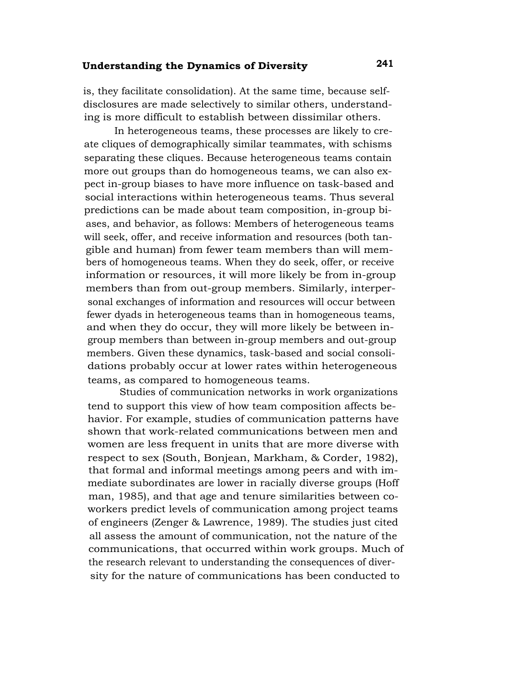is, they facilitate consolidation). At the same time, because selfdisclosures are made selectively to similar others, understanding is more difficult to establish between dissimilar others.

In heterogeneous teams, these processes are likely to create cliques of demographically similar teammates, with schisms separating these cliques. Because heterogeneous teams contain more out groups than do homogeneous teams, we can also expect in-group biases to have more influence on task-based and social interactions within heterogeneous teams. Thus several predictions can be made about team composition, in-group biases, and behavior, as follows: Members of heterogeneous teams will seek, offer, and receive information and resources (both tangible and human) from fewer team members than will members of homogeneous teams. When they do seek, offer, or receive information or resources, it will more likely be from in-group members than from out-group members. Similarly, interpersonal exchanges of information and resources will occur between fewer dyads in heterogeneous teams than in homogeneous teams, and when they do occur, they will more likely be between ingroup members than between in-group members and out-group members. Given these dynamics, task-based and social consolidations probably occur at lower rates within heterogeneous teams, as compared to homogeneous teams.

Studies of communication networks in work organizations tend to support this view of how team composition affects behavior. For example, studies of communication patterns have shown that work-related communications between men and women are less frequent in units that are more diverse with respect to sex (South, Bonjean, Markham, & Corder, 1982), that formal and informal meetings among peers and with immediate subordinates are lower in racially diverse groups (Hoff man, 1985), and that age and tenure similarities between coworkers predict levels of communication among project teams of engineers (Zenger & Lawrence, 1989). The studies just cited all assess the amount of communication, not the nature of the communications, that occurred within work groups. Much of the research relevant to understanding the consequences of diversity for the nature of communications has been conducted to

**241**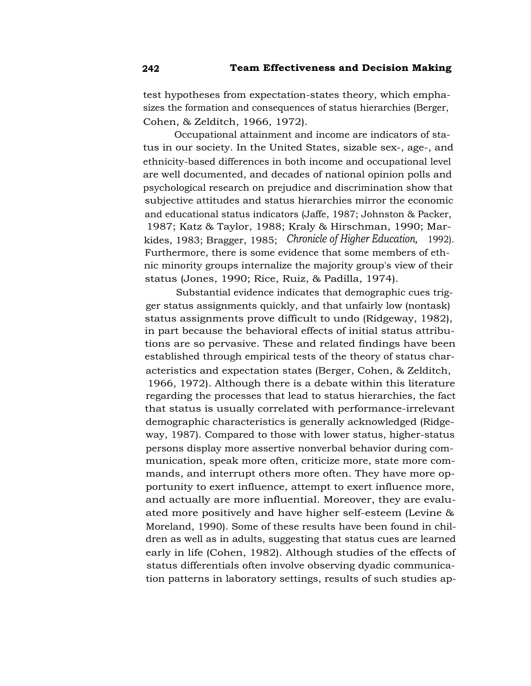test hypotheses from expectation-states theory, which emphasizes the formation and consequences of status hierarchies (Berger, Cohen, & Zelditch, 1966, 1972).

Occupational attainment and income are indicators of status in our society. In the United States, sizable sex-, age-, and ethnicity-based differences in both income and occupational level are well documented, and decades of national opinion polls and psychological research on prejudice and discrimination show that subjective attitudes and status hierarchies mirror the economic and educational status indicators (Jaffe, 1987; Johnston & Packer, 1987; Katz & Taylor, 1988; Kraly & Hirschman, 1990; Markides, 1983; Bragger, 1985; *Chronicle of Higher Education,* 1992). Furthermore, there is some evidence that some members of ethnic minority groups internalize the majority group's view of their status (Jones, 1990; Rice, Ruiz, & Padilla, 1974).

Substantial evidence indicates that demographic cues trigger status assignments quickly, and that unfairly low (nontask) status assignments prove difficult to undo (Ridgeway, 1982), in part because the behavioral effects of initial status attributions are so pervasive. These and related findings have been established through empirical tests of the theory of status characteristics and expectation states (Berger, Cohen, & Zelditch, 1966, 1972). Although there is a debate within this literature regarding the processes that lead to status hierarchies, the fact that status is usually correlated with performance-irrelevant demographic characteristics is generally acknowledged (Ridgeway, 1987). Compared to those with lower status, higher-status persons display more assertive nonverbal behavior during communication, speak more often, criticize more, state more commands, and interrupt others more often. They have more opportunity to exert influence, attempt to exert influence more, and actually are more influential. Moreover, they are evaluated more positively and have higher self-esteem (Levine & Moreland, 1990). Some of these results have been found in children as well as in adults, suggesting that status cues are learned early in life (Cohen, 1982). Although studies of the effects of status differentials often involve observing dyadic communication patterns in laboratory settings, results of such studies ap-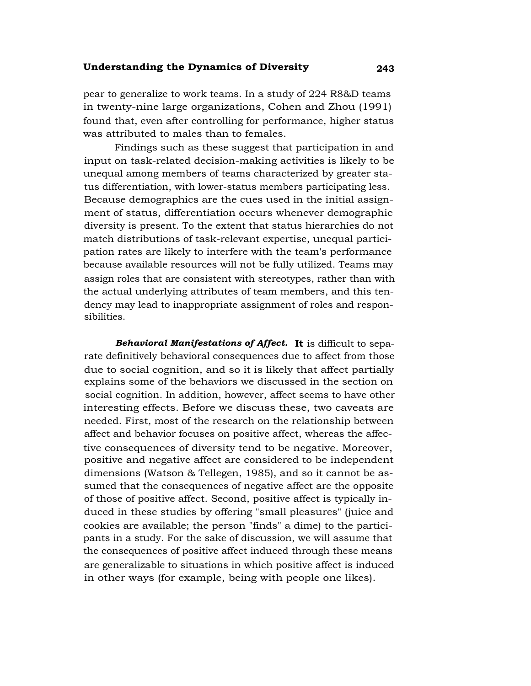pear to generalize to work teams. In a study of 224 R8&D teams in twenty-nine large organizations, Cohen and Zhou (1991) found that, even after controlling for performance, higher status was attributed to males than to females.

Findings such as these suggest that participation in and input on task-related decision-making activities is likely to be unequal among members of teams characterized by greater status differentiation, with lower-status members participating less. Because demographics are the cues used in the initial assignment of status, differentiation occurs whenever demographic diversity is present. To the extent that status hierarchies do not match distributions of task-relevant expertise, unequal participation rates are likely to interfere with the team's performance because available resources will not be fully utilized. Teams may assign roles that are consistent with stereotypes, rather than with the actual underlying attributes of team members, and this tendency may lead to inappropriate assignment of roles and responsibilities.

*Behavioral Manifestations of Affect.* **It** is difficult to separate definitively behavioral consequences due to affect from those due to social cognition, and so it is likely that affect partially explains some of the behaviors we discussed in the section on social cognition. In addition, however, affect seems to have other interesting effects. Before we discuss these, two caveats are needed. First, most of the research on the relationship between affect and behavior focuses on positive affect, whereas the affective consequences of diversity tend to be negative. Moreover, positive and negative affect are considered to be independent dimensions (Watson & Tellegen, 1985), and so it cannot be assumed that the consequences of negative affect are the opposite of those of positive affect. Second, positive affect is typically induced in these studies by offering "small pleasures" (juice and cookies are available; the person "finds" a dime) to the participants in a study. For the sake of discussion, we will assume that the consequences of positive affect induced through these means are generalizable to situations in which positive affect is induced in other ways (for example, being with people one likes).

**243**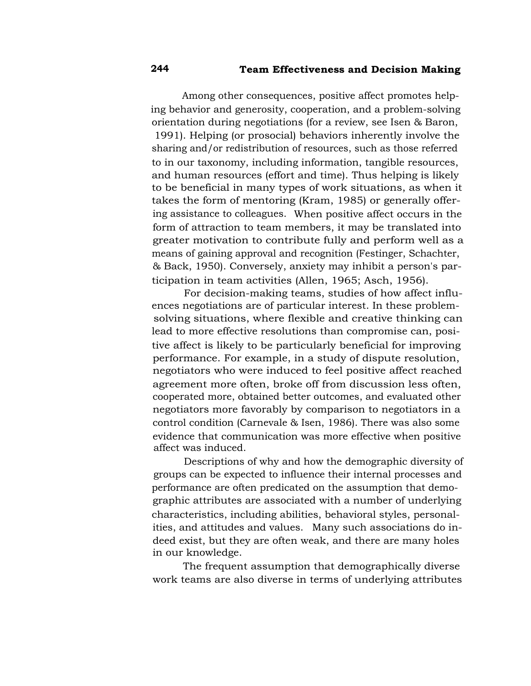#### **Team Effectiveness and Decision Making**

Among other consequences, positive affect promotes helping behavior and generosity, cooperation, and a problem-solving orientation during negotiations (for a review, see Isen & Baron, 1991). Helping (or prosocial) behaviors inherently involve the sharing and/or redistribution of resources, such as those referred to in our taxonomy, including information, tangible resources, and human resources (effort and time). Thus helping is likely to be beneficial in many types of work situations, as when it takes the form of mentoring (Kram, 1985) or generally offering assistance to colleagues. When positive affect occurs in the form of attraction to team members, it may be translated into greater motivation to contribute fully and perform well as a means of gaining approval and recognition (Festinger, Schachter, & Back, 1950). Conversely, anxiety may inhibit a person's participation in team activities (Allen, 1965; Asch, 1956).

For decision-making teams, studies of how affect influences negotiations are of particular interest. In these problemsolving situations, where flexible and creative thinking can lead to more effective resolutions than compromise can, positive affect is likely to be particularly beneficial for improving performance. For example, in a study of dispute resolution, negotiators who were induced to feel positive affect reached agreement more often, broke off from discussion less often, cooperated more, obtained better outcomes, and evaluated other negotiators more favorably by comparison to negotiators in a control condition (Carnevale & Isen, 1986). There was also some evidence that communication was more effective when positive affect was induced.

Descriptions of why and how the demographic diversity of groups can be expected to influence their internal processes and performance are often predicated on the assumption that demographic attributes are associated with a number of underlying characteristics, including abilities, behavioral styles, personalities, and attitudes and values. Many such associations do indeed exist, but they are often weak, and there are many holes in our knowledge.

The frequent assumption that demographically diverse work teams are also diverse in terms of underlying attributes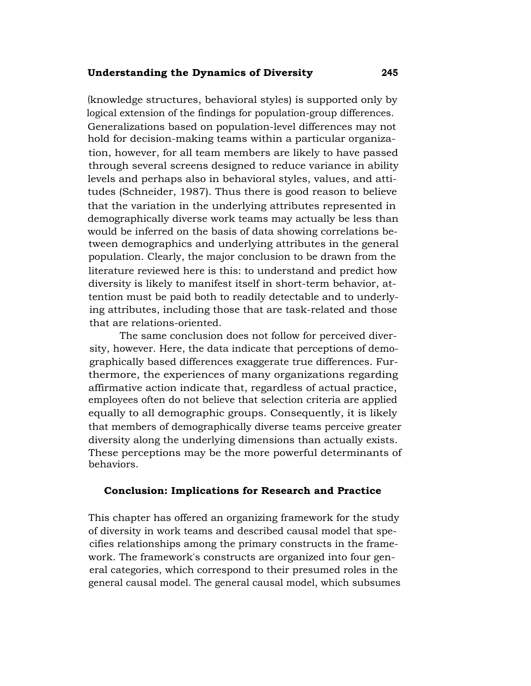(knowledge structures, behavioral styles) is supported only by logical extension of the findings for population-group differences. Generalizations based on population-level differences may not hold for decision-making teams within a particular organization, however, for all team members are likely to have passed through several screens designed to reduce variance in ability levels and perhaps also in behavioral styles, values, and attitudes (Schneider, 1987). Thus there is good reason to believe that the variation in the underlying attributes represented in demographically diverse work teams may actually be less than would be inferred on the basis of data showing correlations between demographics and underlying attributes in the general population. Clearly, the major conclusion to be drawn from the literature reviewed here is this: to understand and predict how diversity is likely to manifest itself in short-term behavior, attention must be paid both to readily detectable and to underlying attributes, including those that are task-related and those that are relations-oriented.

The same conclusion does not follow for perceived diversity, however. Here, the data indicate that perceptions of demographically based differences exaggerate true differences. Furthermore, the experiences of many organizations regarding affirmative action indicate that, regardless of actual practice, employees often do not believe that selection criteria are applied equally to all demographic groups. Consequently, it is likely that members of demographically diverse teams perceive greater diversity along the underlying dimensions than actually exists. These perceptions may be the more powerful determinants of behaviors.

## **Conclusion: Implications for Research and Practice**

This chapter has offered an organizing framework for the study of diversity in work teams and described causal model that specifies relationships among the primary constructs in the framework. The framework's constructs are organized into four general categories, which correspond to their presumed roles in the general causal model. The general causal model, which subsumes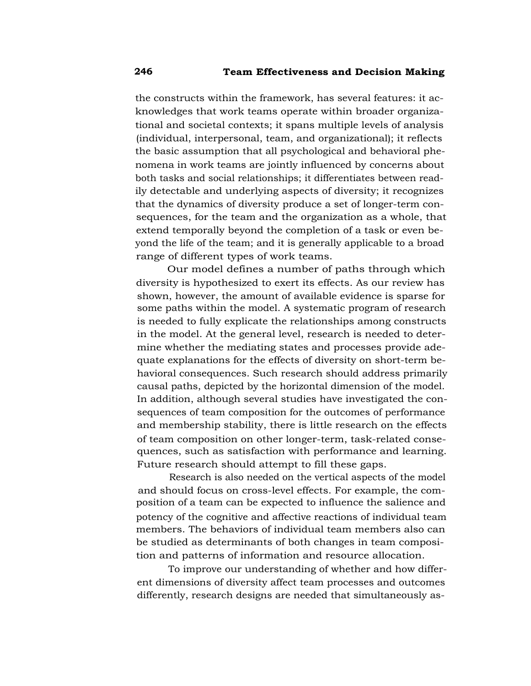the constructs within the framework, has several features: it acknowledges that work teams operate within broader organizational and societal contexts; it spans multiple levels of analysis (individual, interpersonal, team, and organizational); it reflects the basic assumption that all psychological and behavioral phenomena in work teams are jointly influenced by concerns about both tasks and social relationships; it differentiates between readily detectable and underlying aspects of diversity; it recognizes that the dynamics of diversity produce a set of longer-term consequences, for the team and the organization as a whole, that extend temporally beyond the completion of a task or even beyond the life of the team; and it is generally applicable to a broad range of different types of work teams.

Our model defines a number of paths through which diversity is hypothesized to exert its effects. As our review has shown, however, the amount of available evidence is sparse for some paths within the model. A systematic program of research is needed to fully explicate the relationships among constructs in the model. At the general level, research is needed to determine whether the mediating states and processes provide adequate explanations for the effects of diversity on short-term behavioral consequences. Such research should address primarily causal paths, depicted by the horizontal dimension of the model. In addition, although several studies have investigated the consequences of team composition for the outcomes of performance and membership stability, there is little research on the effects of team composition on other longer-term, task-related consequences, such as satisfaction with performance and learning. Future research should attempt to fill these gaps.

Research is also needed on the vertical aspects of the model and should focus on cross-level effects. For example, the composition of a team can be expected to influence the salience and potency of the cognitive and affective reactions of individual team members. The behaviors of individual team members also can be studied as determinants of both changes in team composition and patterns of information and resource allocation.

To improve our understanding of whether and how different dimensions of diversity affect team processes and outcomes differently, research designs are needed that simultaneously as-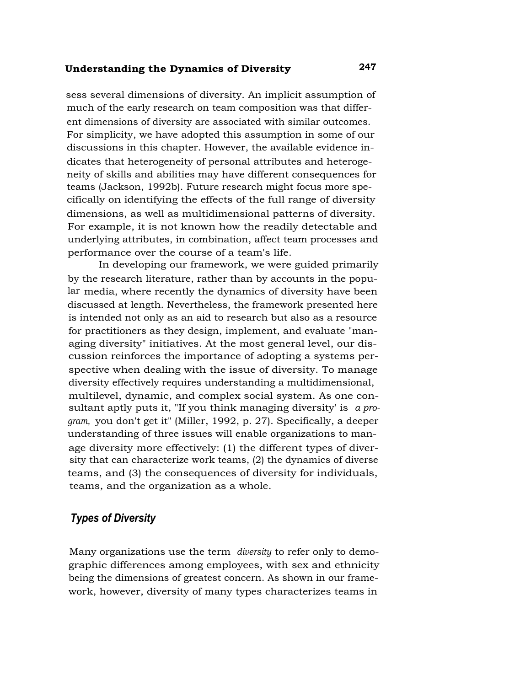sess several dimensions of diversity. An implicit assumption of much of the early research on team composition was that different dimensions of diversity are associated with similar outcomes. For simplicity, we have adopted this assumption in some of our discussions in this chapter. However, the available evidence indicates that heterogeneity of personal attributes and heterogeneity of skills and abilities may have different consequences for teams (Jackson, 1992b). Future research might focus more specifically on identifying the effects of the full range of diversity dimensions, as well as multidimensional patterns of diversity. For example, it is not known how the readily detectable and underlying attributes, in combination, affect team processes and performance over the course of a team's life.

In developing our framework, we were guided primarily by the research literature, rather than by accounts in the popular media, where recently the dynamics of diversity have been discussed at length. Nevertheless, the framework presented here is intended not only as an aid to research but also as a resource for practitioners as they design, implement, and evaluate "managing diversity" initiatives. At the most general level, our discussion reinforces the importance of adopting a systems perspective when dealing with the issue of diversity. To manage diversity effectively requires understanding a multidimensional, multilevel, dynamic, and complex social system. As one consultant aptly puts it, "If you think managing diversity' is *a program,* you don't get it" (Miller, 1992, p. 27). Specifically, a deeper understanding of three issues will enable organizations to manage diversity more effectively: (1) the different types of diversity that can characterize work teams, (2) the dynamics of diverse teams, and (3) the consequences of diversity for individuals, teams, and the organization as a whole.

# *Types of Diversity*

Many organizations use the term *diversity* to refer only to demographic differences among employees, with sex and ethnicity being the dimensions of greatest concern. As shown in our framework, however, diversity of many types characterizes teams in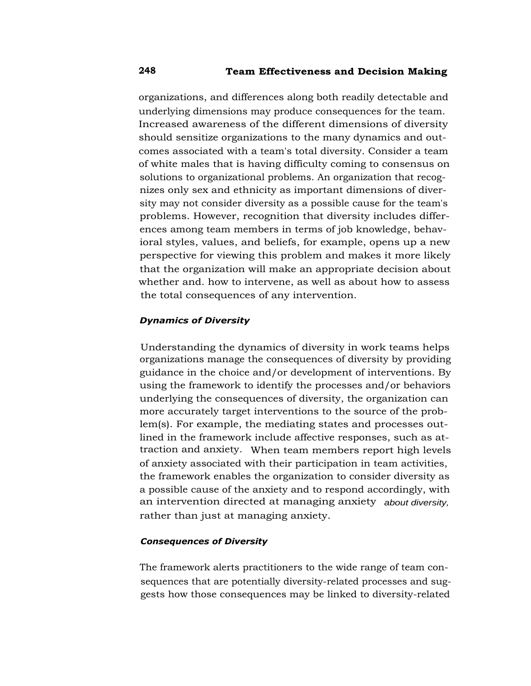organizations, and differences along both readily detectable and underlying dimensions may produce consequences for the team. Increased awareness of the different dimensions of diversity should sensitize organizations to the many dynamics and outcomes associated with a team's total diversity. Consider a team of white males that is having difficulty coming to consensus on solutions to organizational problems. An organization that recognizes only sex and ethnicity as important dimensions of diversity may not consider diversity as a possible cause for the team's problems. However, recognition that diversity includes differences among team members in terms of job knowledge, behavioral styles, values, and beliefs, for example, opens up a new perspective for viewing this problem and makes it more likely that the organization will make an appropriate decision about whether and. how to intervene, as well as about how to assess the total consequences of any intervention.

#### *Dynamics of Diversity*

Understanding the dynamics of diversity in work teams helps organizations manage the consequences of diversity by providing guidance in the choice and/or development of interventions. By using the framework to identify the processes and/or behaviors underlying the consequences of diversity, the organization can more accurately target interventions to the source of the problem(s). For example, the mediating states and processes outlined in the framework include affective responses, such as attraction and anxiety. When team members report high levels of anxiety associated with their participation in team activities, the framework enables the organization to consider diversity as a possible cause of the anxiety and to respond accordingly, with an intervention directed at managing anxiety about diversity. rather than just at managing anxiety.

#### *Consequences of Diversity*

The framework alerts practitioners to the wide range of team consequences that are potentially diversity-related processes and suggests how those consequences may be linked to diversity-related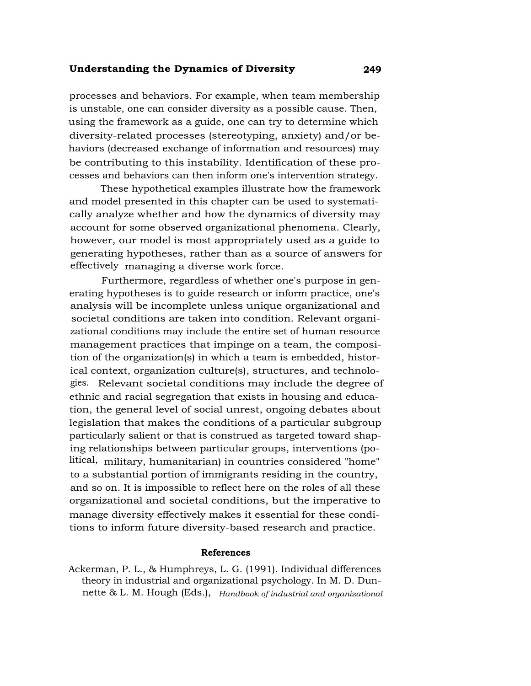processes and behaviors. For example, when team membership is unstable, one can consider diversity as a possible cause. Then, using the framework as a guide, one can try to determine which diversity-related processes (stereotyping, anxiety) and/or behaviors (decreased exchange of information and resources) may be contributing to this instability. Identification of these processes and behaviors can then inform one's intervention strategy.

These hypothetical examples illustrate how the framework and model presented in this chapter can be used to systematically analyze whether and how the dynamics of diversity may account for some observed organizational phenomena. Clearly, however, our model is most appropriately used as a guide to generating hypotheses, rather than as a source of answers for effectively managing a diverse work force.

Furthermore, regardless of whether one's purpose in generating hypotheses is to guide research or inform practice, one's analysis will be incomplete unless unique organizational and societal conditions are taken into condition. Relevant organizational conditions may include the entire set of human resource management practices that impinge on a team, the composition of the organization(s) in which a team is embedded, historical context, organization culture(s), structures, and technologies. Relevant societal conditions may include the degree of ethnic and racial segregation that exists in housing and education, the general level of social unrest, ongoing debates about legislation that makes the conditions of a particular subgroup particularly salient or that is construed as targeted toward shaping relationships between particular groups, interventions (political, military, humanitarian) in countries considered "home" to a substantial portion of immigrants residing in the country, and so on. It is impossible to reflect here on the roles of all these organizational and societal conditions, but the imperative to manage diversity effectively makes it essential for these conditions to inform future diversity-based research and practice.

#### **References**

Ackerman, P. L., & Humphreys, L. G. (1991). Individual differences theory in industrial and organizational psychology. In M. D. Dunnette & L. M. Hough (Eds.), *Handbook of industrial and organizational*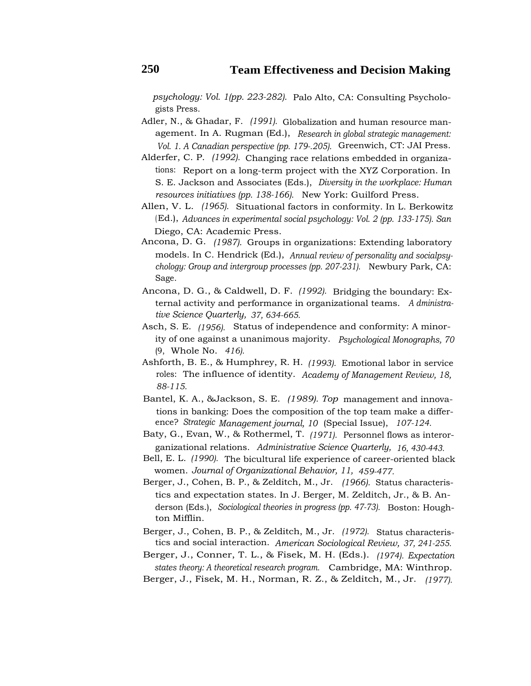*psychology: Vol. 1(pp. 223-282).* Palo Alto, CA: Consulting Psychologists Press.

- Adler, N., & Ghadar, F. *(1991).* Globalization and human resource management. In A. Rugman (Ed.), *Research in global strategic management: Vol. 1. A Canadian perspective (pp. 179-.205).* Greenwich, CT: JAI Press.
- Alderfer, C. P. *(1992).* Changing race relations embedded in organizations: Report on a long-term project with the XYZ Corporation. In S. E. Jackson and Associates (Eds.), *Diversity in the workplace: Human resources initiatives (pp. 138-166).* New York: Guilford Press.
- Allen, V. L. *(1965).* Situational factors in conformity. In L. Berkowitz (Ed.), *Advances in experimental social psychology: Vol. 2 (pp. 133-175). San* Diego, CA: Academic Press.
- Ancona, D. G. *(1987).* Groups in organizations: Extending laboratory models. In C. Hendrick (Ed.), *Annual review of personality and socialpsychology: Group and intergroup processes (pp. 207-231).* Newbury Park, CA: Sage.
- Ancona, D. G., & Caldwell, D. F. *(1992).* Bridging the boundary: External activity and performance in organizational teams. *A dministrative Science Quarterly, 37, 634-665.*
- Asch, S. E. *(1956).* Status of independence and conformity: A minority of one against a unanimous majority. *Psychological Monographs, 70* (9, Whole No. *416).*
- Ashforth, B. E., & Humphrey, R. H. *(1993).* Emotional labor in service roles: The influence of identity. *Academy of Management Review, 18, 88-115.*
- Bantel, K. A., &Jackson, S. E. *(1989). Top* management and innovations in banking: Does the composition of the top team make a difference? *Strategic Management journal, 10* (Special Issue), *107-124.*
- Baty, G., Evan, W., & Rothermel, T. *(1971).* Personnel flows as interorganizational relations. *Administrative Science Quarterly, 16, 430-443.*
- Bell, E. L. *(1990).* The bicultural life experience of career-oriented black women. *Journal of Organizational Behavior, 11, 459-477.*
- Berger, J., Cohen, B. P., & Zelditch, M., Jr. *(1966).* Status characteristics and expectation states. In J. Berger, M. Zelditch, Jr., & B. Anderson (Eds.), *Sociological theories in progress (pp. 47-73).* Boston: Houghton Mifflin.
- Berger, J., Cohen, B. P., & Zelditch, M., Jr. *(1972).* Status characteristics and social interaction. *American Sociological Review, 37, 241-255.*
- Berger, J., Conner, T. L., & Fisek, M. H. (Eds.). *(1974). Expectation states theory: A theoretical research program.* Cambridge, MA: Winthrop. Berger, J., Fisek, M. H., Norman, R. Z., & Zelditch, M., Jr. *(1977).*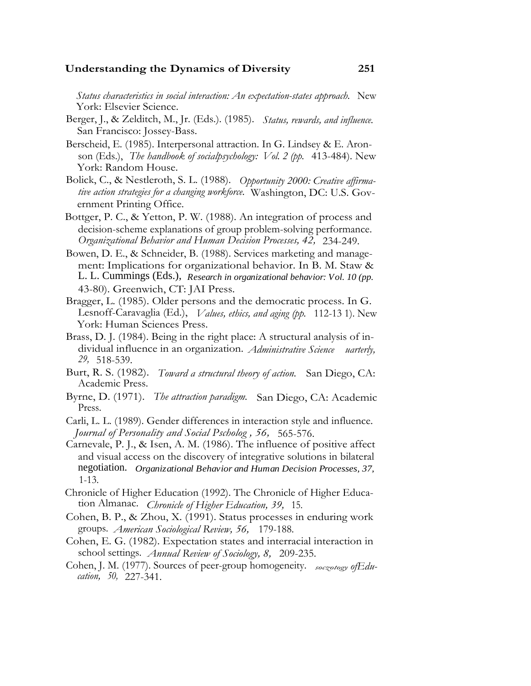*Status characteristics in social interaction: An expectation-states approach.* New York: Elsevier Science.

- Berger, J., & Zelditch, M., Jr. (Eds.). (1985). *Status, rewards, and influence.* San Francisco: Jossey-Bass.
- Berscheid, E. (1985). Interpersonal attraction. In G. Lindsey & E. Aronson (Eds.), *The handbook of socialpsychology: Vol. 2 (pp.* 413-484). New York: Random House.
- Bolick, C., & Nestleroth, S. L. (1988). *Opportunity 2000: Creative affirmative action strategies for a changing workforce.* Washington, DC: U.S. Government Printing Office.
- Bottger, P. C., & Yetton, P. W. (1988). An integration of process and decision-scheme explanations of group problem-solving performance. *Organizational Behavior and Human Decision Processes, 42,* 234-249.
- Bowen, D. E., & Schneider, B. (1988). Services marketing and management: Implications for organizational behavior. In B. M. Staw & L. L. Cummings (Eds.), *Research in organizational behavior: Vol. 10 (pp.* 43-80). Greenwich, CT: JAI Press.
- Bragger, L. (1985). Older persons and the democratic process. In G. Lesnoff-Caravaglia (Ed.), *Values, ethics, and aging (pp.* 112-13 1). New York: Human Sciences Press.
- Brass, D. J. (1984). Being in the right place: A structural analysis of individual influence in an organization. *Administrative Science uarterly, 29,* 518-539.
- Burt, R. S. (1982). *Toward a structural theory of action.* San Diego, CA: Academic Press.
- Byrne, D. (1971). *The attraction paradigm.* San Diego, CA: Academic Press.
- Carli, L. L. (1989). Gender differences in interaction style and influence. *Journal of Personality and Social Pscholog , 56,* 565-576.
- Carnevale, P. J., & Isen, A. M. (1986). The influence of positive affect and visual access on the discovery of integrative solutions in bilateral negotiation. *Organizational Behavior and Human Decision Processes, 37,* 1-13.
- Chronicle of Higher Education (1992). The Chronicle of Higher Education Almanac. *Chronicle of Higher Education, 39,* 15.
- Cohen, B. P., & Zhou, X. (1991). Status processes in enduring work groups. *American Sociological Review, 56,* 179-188.
- Cohen, E. G. (1982). Expectation states and interracial interaction in school settings. *Annual Review of Sociology, 8,* 209-235.
- Cohen, J. M. (1977). Sources of peer-group homogeneity. *soczotogy ofEducation, 50,* 227-341.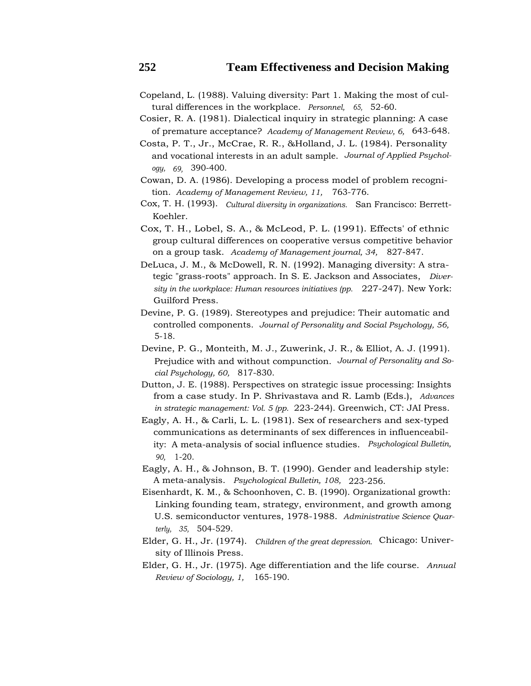- Copeland, L. (1988). Valuing diversity: Part 1. Making the most of cultural differences in the workplace. *Personnel, 65,* 52-60.
- Cosier, R. A. (1981). Dialectical inquiry in strategic planning: A case of premature acceptance? *Academy of Management Review, 6,* 643-648.
- Costa, P. T., Jr., McCrae, R. R., &Holland, J. L. (1984). Personality and vocational interests in an adult sample. *Journal of Applied Psychology, 69,* 390-400.
- Cowan, D. A. (1986). Developing a process model of problem recognition. *Academy of Management Review, 11,* 763-776.
- Cox, T. H. (1993). *Cultural diversity in organizations.* San Francisco: Berrett-Koehler.
- Cox, T. H., Lobel, S. A., & McLeod, P. L. (1991). Effects' of ethnic group cultural differences on cooperative versus competitive behavior on a group task. *Academy of Management journal, 34,* 827-847.
- DeLuca, J. M., & McDowell, R. N. (1992). Managing diversity: A strategic "grass-roots" approach. In S. E. Jackson and Associates, *Diversity in the workplace: Human resources initiatives (pp.* 227-247). New York: Guilford Press.
- Devine, P. G. (1989). Stereotypes and prejudice: Their automatic and controlled components. *Journal of Personality and Social Psychology, 56,* 5-18.
- Devine, P. G., Monteith, M. J., Zuwerink, J. R., & Elliot, A. J. (1991). Prejudice with and without compunction. *Journal of Personality and Social Psychology, 60,* 817-830.
- Dutton, J. E. (1988). Perspectives on strategic issue processing: Insights from a case study. In P. Shrivastava and R. Lamb (Eds.), *Advances in strategic management: Vol. 5 (pp.* 223-244). Greenwich, CT: JAI Press.
- Eagly, A. H., & Carli, L. L. (1981). Sex of researchers and sex-typed communications as determinants of sex differences in influenceability: A meta-analysis of social influence studies. *Psychological Bulletin, 90,* 1-20.
- Eagly, A. H., & Johnson, B. T. (1990). Gender and leadership style: A meta-analysis. *Psychological Bulletin, 108,* 223-256.
- Eisenhardt, K. M., & Schoonhoven, C. B. (1990). Organizational growth: Linking founding team, strategy, environment, and growth among U.S. semiconductor ventures, 1978-1988. *Administrative Science Quarterly, 35,* 504-529.
- Elder, G. H., Jr. (1974). *Children of the great depression.* Chicago: University of Illinois Press.
- Elder, G. H., Jr. (1975). Age differentiation and the life course. *Annual Review of Sociology, 1,* 165-190.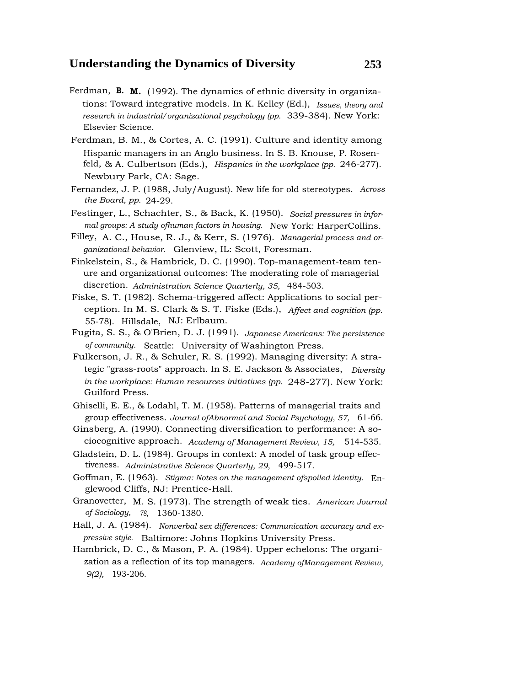- Ferdman, **B. M.** (1992). The dynamics of ethnic diversity in organizations: Toward integrative models. In K. Kelley (Ed.), *Issues, theory and research in industrial/organizational psychology (pp.* 339-384). New York: Elsevier Science.
- Ferdman, B. M., & Cortes, A. C. (1991). Culture and identity among Hispanic managers in an Anglo business. In S. B. Knouse, P. Rosenfeld, & A. Culbertson (Eds.), *Hispanics in the workplace (pp.* 246-277). Newbury Park, CA: Sage.
- Fernandez, J. P. (1988, July/August). New life for old stereotypes. *Across the Board, pp.* 24-29.
- Festinger, L., Schachter, S., & Back, K. (1950). *Social pressures in informal groups: A study ofhuman factors in housing.* New York: HarperCollins.
- Filley, A. C., House, R. J., & Kerr, S. (1976). *Managerial process and organizational behavior.* Glenview, IL: Scott, Foresman.
- Finkelstein, S., & Hambrick, D. C. (1990). Top-management-team tenure and organizational outcomes: The moderating role of managerial discretion. *Administration Science Quarterly, 35,* 484-503.
- Fiske, S. T. (1982). Schema-triggered affect: Applications to social perception. In M. S. Clark & S. T. Fiske (Eds.), *Affect and cognition (pp.* 55-78). Hillsdale, NJ: Erlbaum.
- Fugita, S. S., & O'Brien, D. J. (1991). *Japanese Americans: The persistence of community.* Seattle: University of Washington Press.
- Fulkerson, J. R., & Schuler, R. S. (1992). Managing diversity: A strategic "grass-roots" approach. In S. E. Jackson & Associates, *Diversity in the workplace: Human resources initiatives (pp.* 248-277). New York: Guilford Press.
- Ghiselli, E. E., & Lodahl, T. M. (1958). Patterns of managerial traits and group effectiveness. *Journal ofAbnormal and Social Psychology, 57,* 61-66.
- Ginsberg, A. (1990). Connecting diversification to performance: A sociocognitive approach. *Academy of Management Review, 15,* 514-535.
- Gladstein, D. L. (1984). Groups in context: A model of task group effectiveness. *Administrative Science Quarterly, 29,* 499-517.
- Goffman, E. (1963). *Stigma: Notes on the management ofspoiled identity.* Englewood Cliffs, NJ: Prentice-Hall.
- Granovetter, M. S. (1973). The strength of weak ties. *American Journal of Sociology, 78,* 1360-1380.
- Hall, J. A. (1984). *Nonverbal sex differences: Communication accuracy and expressive style.* Baltimore: Johns Hopkins University Press.
- Hambrick, D. C., & Mason, P. A. (1984). Upper echelons: The organization as a reflection of its top managers. *Academy ofManagement Review, 9(2),* 193-206.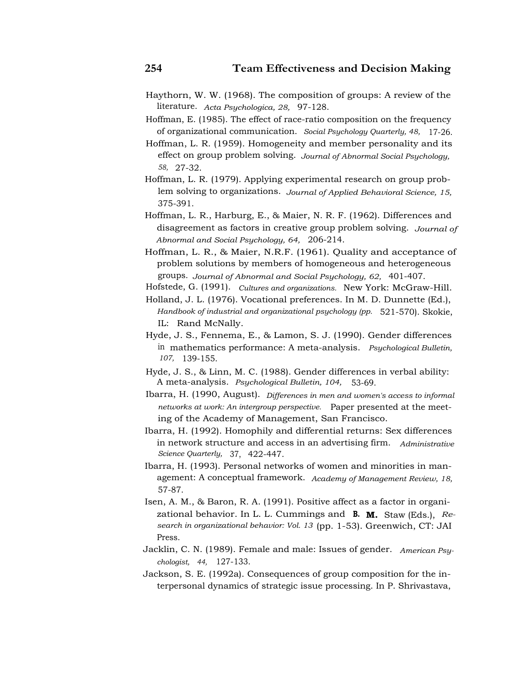- Haythorn, W. W. (1968). The composition of groups: A review of the literature. *Acta Psychologica, 28,* 97-128.
- Hoffman, E. (1985). The effect of race-ratio composition on the frequency of organizational communication. *Social Psychology Quarterly, 48,* 17-26.
- Hoffman, L. R. (1959). Homogeneity and member personality and its effect on group problem solving. *Journal of Abnormal Social Psychology, 58,* 27-32.
- Hoffman, L. R. (1979). Applying experimental research on group problem solving to organizations. *Journal of Applied Behavioral Science, 15,* 375-391.
- Hoffman, L. R., Harburg, E., & Maier, N. R. F. (1962). Differences and disagreement as factors in creative group problem solving. *Journal of Abnormal and Social Psychology, 64,* 206-214.
- Hoffman, L. R., & Maier, N.R.F. (1961). Quality and acceptance of problem solutions by members of homogeneous and heterogeneous groups. *Journal of Abnormal and Social Psychology, 62,* 401-407.
- Hofstede, G. (1991). *Cultures and organizations.* New York: McGraw-Hill.
- Holland, J. L. (1976). Vocational preferences. In M. D. Dunnette (Ed.), *Handbook of industrial and organizational psychology (pp.* 521-570). Skokie, IL: Rand McNally.
- Hyde, J. S., Fennema, E., & Lamon, S. J. (1990). Gender differences in mathematics performance: A meta-analysis. *Psychological Bulletin, 107,* 139-155.
- Hyde, J. S., & Linn, M. C. (1988). Gender differences in verbal ability: A meta-analysis. *Psychological Bulletin, 104,* 53-69.
- Ibarra, H. (1990, August). *Differences in men and women's access to informal networks at work: An intergroup perspective.* Paper presented at the meeting of the Academy of Management, San Francisco.
- Ibarra, H. (1992). Homophily and differential returns: Sex differences in network structure and access in an advertising firm. *Administrative Science Quarterly,* 37, 422-447.
- Ibarra, H. (1993). Personal networks of women and minorities in management: A conceptual framework. *Academy of Management Review, 18,* 57-87.
- Isen, A. M., & Baron, R. A. (1991). Positive affect as a factor in organizational behavior. In L. L. Cummings and **B. M.** Staw (Eds.), *Research in organizational behavior: Vol. 13* (pp. 1-53). Greenwich, CT: JAI Press.
- Jacklin, C. N. (1989). Female and male: Issues of gender. *American Psychologist, 44,* 127-133.
- Jackson, S. E. (1992a). Consequences of group composition for the interpersonal dynamics of strategic issue processing. In P. Shrivastava,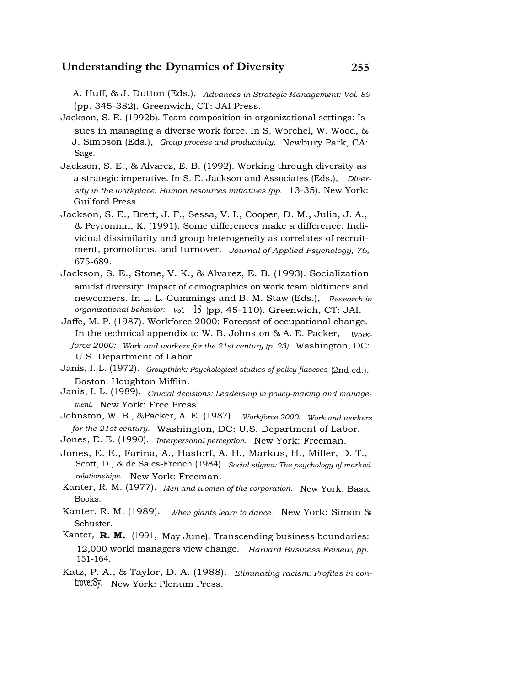- A. Huff, & J. Dutton (Eds.), *Advances in Strategic Management: Vol. 89* (pp. 345-382). Greenwich, CT: JAI Press.
- Jackson, S. E. (1992b). Team composition in organizational settings: Issues in managing a diverse work force. In S. Worchel, W. Wood, & J. Simpson (Eds.), *Group process and productivity.* Newbury Park, CA: Sage.
- Jackson, S. E., & Alvarez, E. B. (1992). Working through diversity as a strategic imperative. In S. E. Jackson and Associates (Eds.), *Diversity in the workplace: Human resources initiatives (pp.* 13-35). New York: Guilford Press.
- Jackson, S. E., Brett, J. F., Sessa, V. I., Cooper, D. M., Julia, J. A., & Peyronnin, K. (1991). Some differences make a difference: Individual dissimilarity and group heterogeneity as correlates of recruitment, promotions, and turnover. *Journal of Applied Psychology, 76,* 675-689.
- Jackson, S. E., Stone, V. K., & Alvarez, E. B. (1993). Socialization amidst diversity: Impact of demographics on work team oldtimers and newcomers. In L. L. Cummings and B. M. Staw (Eds.), *Research in organizational behavior: Vol.* 1S (pp. 45-110). Greenwich, CT: JAI.
- Jaffe, M. P. (1987). Workforce 2000: Forecast of occupational change. In the technical appendix to W. B. Johnston & A. E. Packer, *Workforce 2000: Work and workers for the 21st century (p. 23).* Washington, DC: U.S. Department of Labor.
- Janis, I. L. (1972). *Groupthink: Psychological studies of policy fiascoes* (2nd ed.). Boston: Houghton Mifflin.
- Janis, I. L. (1989). *Crucial decisions: Leadership in policy-making and management.* New York: Free Press.
- Johnston, W. B., &Packer, A. E. (1987). *Workforce 2000: Work and workers for the 21st century.* Washington, DC: U.S. Department of Labor.
- Jones, E. E. (1990). *Interpersonal perception.* New York: Freeman.
- Jones, E. E., Farina, A., Hastorf, A. H., Markus, H., Miller, D. T., Scott, D., & de Sales-French (1984). *Social stigma: The psychology of marked relationships.* New York: Freeman.
- Kanter, R. M. (1977). *Men and women of the corporation.* New York: Basic Books.
- Kanter, R. M. (1989). *When giants learn to dance.* New York: Simon & Schuster.
- Kanter, **R. M.** (1991, May June). Transcending business boundaries: 12,000 world managers view change. *Harvard Business Review, pp.* 151-164.
- Katz, P. A., & Taylor, D. A. (1988). *Eliminating racism: Profiles in con*troverSy. New York: Plenum Press.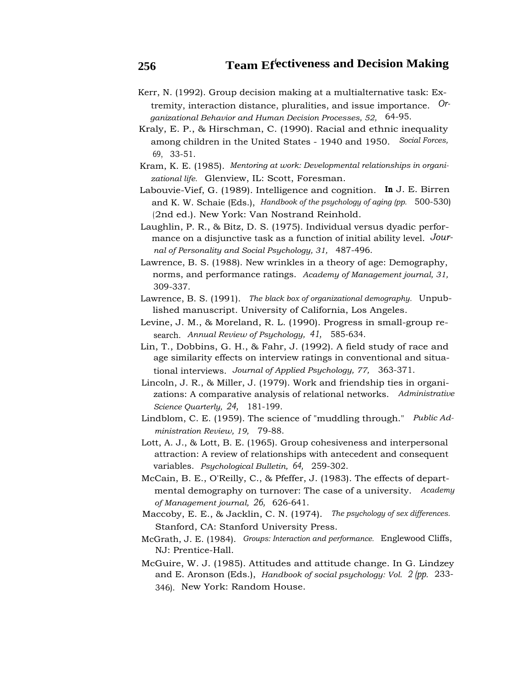- Kerr, N. (1992). Group decision making at a multialternative task: Extremity, interaction distance, pluralities, and issue importance. *Organizational Behavior and Human Decision Processes, 52,* 64-95.
- Kraly, E. P., & Hirschman, C. (1990). Racial and ethnic inequality among children in the United States - 1940 and 1950. *Social Forces,* 69, 33-51.
- Kram, K. E. (1985). *Mentoring at work: Developmental relationships in organizational life.* Glenview, IL: Scott, Foresman.
- Labouvie-Vief, G. (1989). Intelligence and cognition. **In** J. E. Birren and K. W. Schaie (Eds.), *Handbook of the psychology of aging (pp.* 500-530) (2nd ed.). New York: Van Nostrand Reinhold.
- Laughlin, P. R., & Bitz, D. S. (1975). Individual versus dyadic performance on a disjunctive task as a function of initial ability level. *Journal of Personality and Social Psychology, 31,* 487-496.
- Lawrence, B. S. (1988). New wrinkles in a theory of age: Demography, norms, and performance ratings. *Academy of Management journal, 31,* 309-337.
- Lawrence, B. S. (1991). *The black box of organizational demography.* Unpublished manuscript. University of California, Los Angeles.
- Levine, J. M., & Moreland, R. L. (1990). Progress in small-group research. *Annual Review of Psychology, 41,* 585-634.
- Lin, T., Dobbins, G. H., & Fahr, J. (1992). A field study of race and age similarity effects on interview ratings in conventional and situational interviews. *Journal of Applied Psychology, 77,* 363-371.
- Lincoln, J. R., & Miller, J. (1979). Work and friendship ties in organizations: A comparative analysis of relational networks. *Administrative Science Quarterly, 24,* 181-199.
- Lindblom, C. E. (1959). The science of "muddling through." *Public Administration Review, 19,* 79-88.
- Lott, A. J., & Lott, B. E. (1965). Group cohesiveness and interpersonal attraction: A review of relationships with antecedent and consequent variables. *Psychological Bulletin, 64,* 259-302.
- McCain, B. E., O'Reilly, C., & Pfeffer, J. (1983). The effects of departmental demography on turnover: The case of a university. *Academy of Management journal, 26,* 626-641.
- Maccoby, E. E., & Jacklin, C. N. (1974). *The psychology of sex differences.* Stanford, CA: Stanford University Press.
- McGrath, J. E. (1984). *Groups: Interaction and performance.* Englewood Cliffs, NJ: Prentice-Hall.
- McGuire, W. J. (1985). Attitudes and attitude change. In G. Lindzey and E. Aronson (Eds.), *Handbook of social psychology: Vol. 2 (pp.* 233- 346). New York: Random House.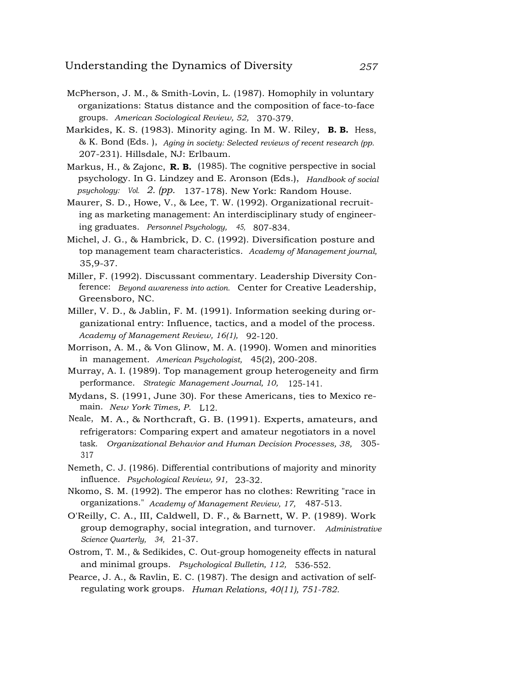- McPherson, J. M., & Smith-Lovin, L. (1987). Homophily in voluntary organizations: Status distance and the composition of face-to-face groups. *American Sociological Review, 52,* 370-379.
- Markides, K. S. (1983). Minority aging. In M. W. Riley, **B. B.** Hess, & K. Bond (Eds. ), *Aging in society: Selected reviews of recent research (pp.* 207-231). Hillsdale, NJ: Erlbaum.
- Markus, H., & Zajonc, **R. B.** (1985). The cognitive perspective in social psychology. In G. Lindzey and E. Aronson (Eds.), *Handbook of social psychology: Vol. 2. (pp.* 137-178). New York: Random House.
- Maurer, S. D., Howe, V., & Lee, T. W. (1992). Organizational recruiting as marketing management: An interdisciplinary study of engineering graduates. *Personnel Psychology, 45,* 807-834.
- Michel, J. G., & Hambrick, D. C. (1992). Diversification posture and top management team characteristics. *Academy of Management journal,* 35,9-37.
- Miller, F. (1992). Discussant commentary. Leadership Diversity Conference: *Beyond awareness into action.* Center for Creative Leadership, Greensboro, NC.
- Miller, V. D., & Jablin, F. M. (1991). Information seeking during organizational entry: Influence, tactics, and a model of the process. *Academy of Management Review, 16(1),* 92-120.
- Morrison, A. M., & Von Glinow, M. A. (1990). Women and minorities in management. *American Psychologist,* 45(2), 200-208.
- Murray, A. I. (1989). Top management group heterogeneity and firm performance. *Strategic Management Journal, 10,* 125-141.
- Mydans, S. (1991, June 30). For these Americans, ties to Mexico remain. *New York Times, P.* L12.
- Neale, M. A., & Northcraft, G. B. (1991). Experts, amateurs, and refrigerators: Comparing expert and amateur negotiators in a novel task. *Organizational Behavior and Human Decision Processes, 38,* 305- 317
- Nemeth, C. J. (1986). Differential contributions of majority and minority influence. *Psychological Review, 91,* 23-32.
- Nkomo, S. M. (1992). The emperor has no clothes: Rewriting "race in organizations." *Academy of Management Review, 17,* 487-513.
- O'Reilly, C. A., III, Caldwell, D. F., & Barnett, W. P. (1989). Work group demography, social integration, and turnover. *Administrative Science Quarterly, 34,* 21-37.
- Ostrom, T. M., & Sedikides, C. Out-group homogeneity effects in natural and minimal groups. *Psychological Bulletin, 112,* 536-552.
- Pearce, J. A., & Ravlin, E. C. (1987). The design and activation of selfregulating work groups. *Human Relations, 40(11), 751-782.*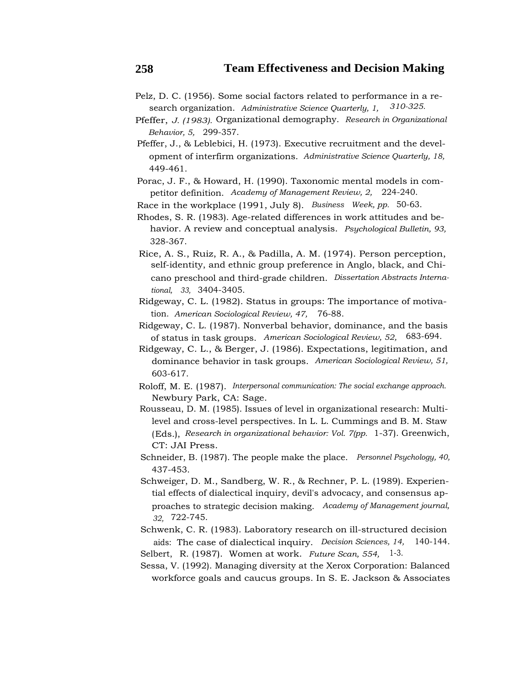- Pelz, D. C. (1956). Some social factors related to performance in a research organization. *Administrative Science Quarterly, 1, 310-325.*
- Pfeffer, *J. (1983).* Organizational demography. *Research in Organizational Behavior, 5,* 299-357.
- Pfeffer, J., & Leblebici, H. (1973). Executive recruitment and the development of interfirm organizations. *Administrative Science Quarterly, 18,* 449-461.
- Porac, J. F., & Howard, H. (1990). Taxonomic mental models in competitor definition. *Academy of Management Review, 2,* 224-240.
- Race in the workplace (1991, July 8). *Business Week, pp.* 50-63.
- Rhodes, S. R. (1983). Age-related differences in work attitudes and behavior. A review and conceptual analysis. *Psychological Bulletin, 93,* 328-367.
- Rice, A. S., Ruiz, R. A., & Padilla, A. M. (1974). Person perception, self-identity, and ethnic group preference in Anglo, black, and Chicano preschool and third-grade children. *Dissertation Abstracts International, 33,* 3404-3405.
- Ridgeway, C. L. (1982). Status in groups: The importance of motivation. *American Sociological Review, 47,* 76-88.
- Ridgeway, C. L. (1987). Nonverbal behavior, dominance, and the basis of status in task groups. *American Sociological Review, 52,* 683-694.
- Ridgeway, C. L., & Berger, J. (1986). Expectations, legitimation, and dominance behavior in task groups. *American Sociological Review, 51,* 603-617.
- Roloff, M. E. (1987). *Interpersonal communication: The social exchange approach.* Newbury Park, CA: Sage.
- Rousseau, D. M. (1985). Issues of level in organizational research: Multilevel and cross-level perspectives. In L. L. Cummings and B. M. Staw (Eds.), *Research in organizational behavior: Vol. 7(pp.* 1-37). Greenwich, CT: JAI Press.
- Schneider, B. (1987). The people make the place. *Personnel Psychology, 40,* 437-453.
- Schweiger, D. M., Sandberg, W. R., & Rechner, P. L. (1989). Experiential effects of dialectical inquiry, devil's advocacy, and consensus approaches to strategic decision making. *Academy of Management journal, 32,* 722-745.
- Schwenk, C. R. (1983). Laboratory research on ill-structured decision aids: The case of dialectical inquiry. *Decision Sciences, 14,* 140-144. Selbert, R. (1987). Women at work. *Future Scan, 554,* 1-3.
- Sessa, V. (1992). Managing diversity at the Xerox Corporation: Balanced workforce goals and caucus groups. In S. E. Jackson & Associates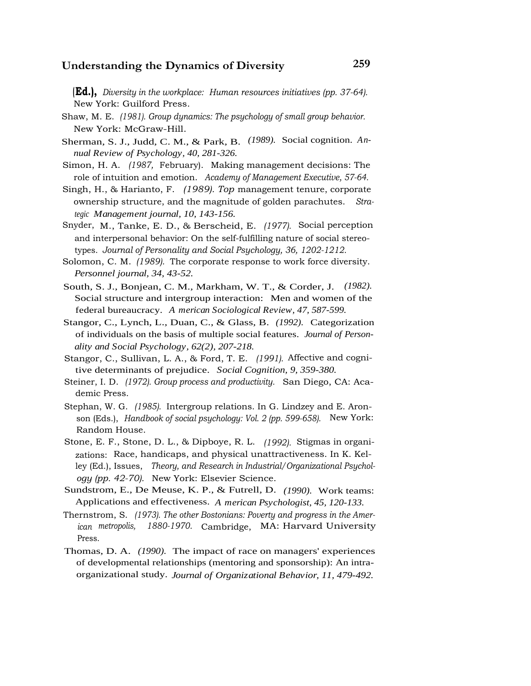**(Ed.),** *Diversity in the workplace: Human resources initiatives (pp. 37-64).* New York: Guilford Press.

- Shaw, M. E. *(1981). Group dynamics: The psychology of small group behavior.* New York: McGraw-Hill.
- Sherman, S. J., Judd, C. M., & Park, B. *(1989).* Social cognition. *Annual Review of Psychology, 40, 281-326.*
- Simon, H. A. *(1987,* February). Making management decisions: The role of intuition and emotion. *Academy of Management Executive, 57-64.*
- Singh, H., & Harianto, F. *(1989). Top* management tenure, corporate ownership structure, and the magnitude of golden parachutes. *Strategic Management journal, 10, 143-156.*
- Snyder, M., Tanke, E. D., & Berscheid, E. *(1977).* Social perception and interpersonal behavior: On the self-fulfilling nature of social stereotypes. *Journal of Personality and Social Psychology, 36, 1202-1212.*
- Solomon, C. M. *(1989).* The corporate response to work force diversity. *Personnel journal, 34, 43-52.*
- South, S. J., Bonjean, C. M., Markham, W. T., & Corder, J. *(1982).* Social structure and intergroup interaction: Men and women of the federal bureaucracy. *A merican Sociological Review, 47, 587-599.*
- Stangor, C., Lynch, L., Duan, C., & Glass, B. *(1992).* Categorization of individuals on the basis of multiple social features. *Journal of Personality and Social Psychology, 62(2), 207-218.*
- Stangor, C., Sullivan, L. A., & Ford, T. E. *(1991).* Affective and cognitive determinants of prejudice. *Social Cognition, 9, 359-380.*
- Steiner, I. D. *(1972). Group process and productivity.* San Diego, CA: Academic Press.
- Stephan, W. G. *(1985).* Intergroup relations. In G. Lindzey and E. Aronson (Eds.), *Handbook of social psychology: Vol. 2 (pp. 599-658).* New York: Random House.
- Stone, E. F., Stone, D. L., & Dipboye, R. L. *(1992).* Stigmas in organizations: Race, handicaps, and physical unattractiveness. In K. Kelley (Ed.), Issues, *Theory, and Research in Industrial/Organizational Psychology (pp. 42-70).* New York: Elsevier Science.
- Sundstrom, E., De Meuse, K. P., & Futrell, D. *(1990).* Work teams: Applications and effectiveness. *A merican Psychologist, 45, 120-133.*
- Thernstrom, S. *(1973). The other Bostonians: Poverty and progress in the American metropolis, 1880-1970.* Cambridge, MA: Harvard University Press.
- Thomas, D. A. *(1990).* The impact of race on managers' experiences of developmental relationships (mentoring and sponsorship): An intraorganizational study. *Journal of Organizational Behavior, 11, 479-492.*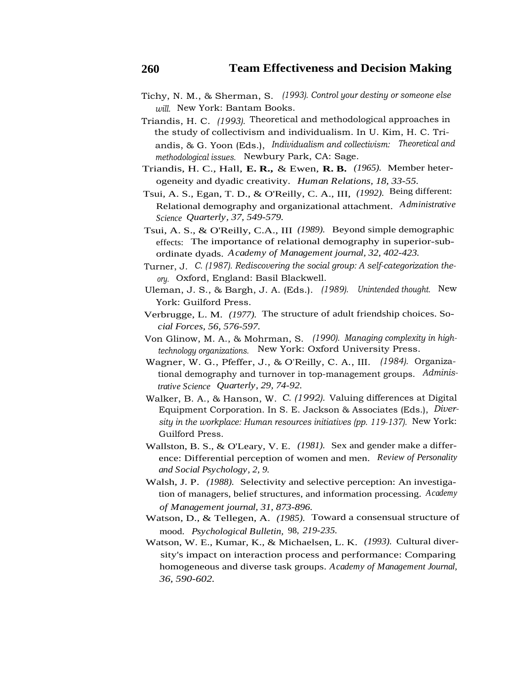- Tichy, N. M., & Sherman, S. *(1993). Control your destiny or someone else will.* New York: Bantam Books.
- Triandis, H. C. *(1993).* Theoretical and methodological approaches in the study of collectivism and individualism. In U. Kim, H. C. Triandis, & G. Yoon (Eds.), *Individualism and collectivism: Theoretical and methodological issues.* Newbury Park, CA: Sage.
- Triandis, H. C., Hall, **E. R.,** & Ewen, **R. B.** *(1965).* Member heterogeneity and dyadic creativity. *Human Relations, 18, 33-55.*
- Tsui, A. S., Egan, T. D., & O'Reilly, C. A., III, *(1992).* Being different: Relational demography and organizational attachment. *Administrative Science Quarterly, 37, 549-579.*
- Tsui, A. S., & O'Reilly, C.A., III *(1989).* Beyond simple demographic effects: The importance of relational demography in superior-subordinate dyads. *Academy of Management journal, 32, 402-423.*
- Turner, J. *C. (1987). Rediscovering the social group: A self-categorization theory.* Oxford, England: Basil Blackwell.
- Uleman, J. S., & Bargh, J. A. (Eds.). *(1989). Unintended thought.* New York: Guilford Press.
- Verbrugge, L. M. *(1977).* The structure of adult friendship choices. So*cial Forces, 56, 576-597.*
- Von Glinow, M. A., & Mohrman, S. *(1990). Managing complexity in hightechnology organizations.* New York: Oxford University Press.
- Wagner, W. G., Pfeffer, J., & O'Reilly, C. A., III. *(1984).* Organizational demography and turnover in top-management groups. *Administrative Science Quarterly, 29, 74-92.*
- Walker, B. A., & Hanson, W. *C. (1992).* Valuing differences at Digital Equipment Corporation. In S. E. Jackson & Associates (Eds.), *Diversity in the workplace: Human resources initiatives (pp. 119-137).* New York: Guilford Press.
- Wallston, B. S., & O'Leary, V. E. *(1981).* Sex and gender make a difference: Differential perception of women and men. *Review of Personality and Social Psychology, 2, 9.*
- Walsh, J. P. *(1988).* Selectivity and selective perception: An investigation of managers, belief structures, and information processing. *Academy of Management journal, 31, 873-896.*
- Watson, D., & Tellegen, A. *(1985).* Toward a consensual structure of mood. *Psychological Bulletin,* 98, *219-235.*
- Watson, W. E., Kumar, K., & Michaelsen, L. K. *(1993).* Cultural diversity's impact on interaction process and performance: Comparing homogeneous and diverse task groups. *Academy of Management Journal, 36, 590-602.*